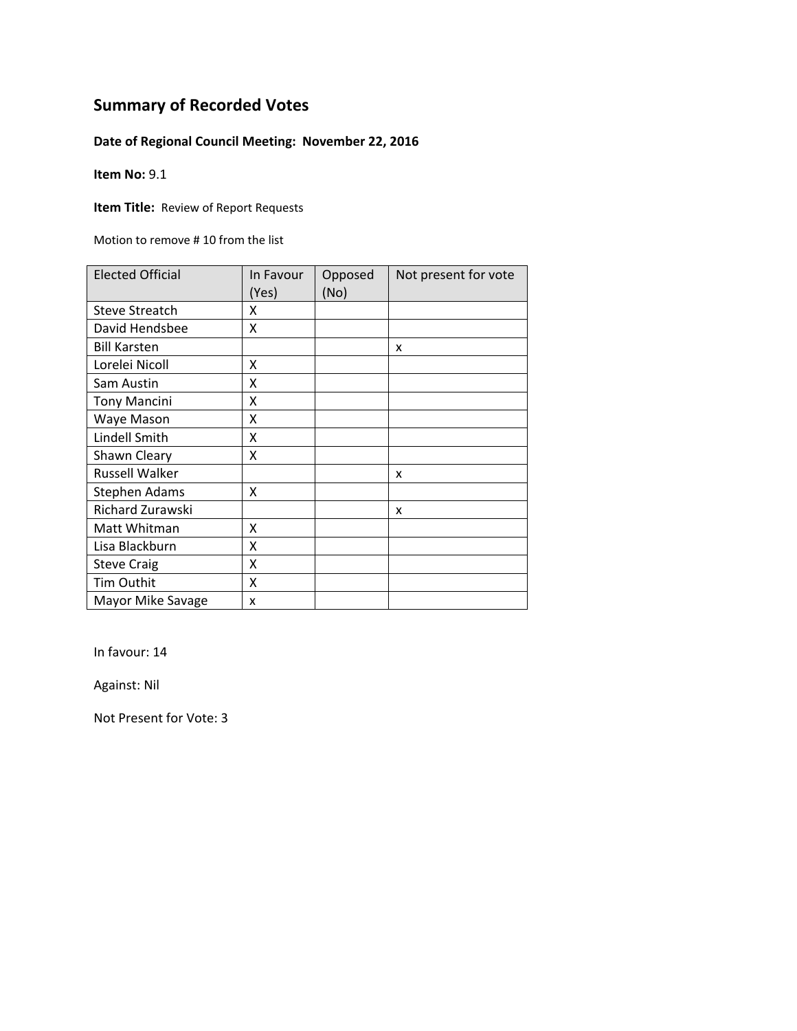### **Date of Regional Council Meeting: November 22, 2016**

**Item No:** 9.1

**Item Title: Review of Report Requests** 

Motion to remove # 10 from the list

| <b>Elected Official</b> | In Favour<br>(Yes) | Opposed<br>(No) | Not present for vote |
|-------------------------|--------------------|-----------------|----------------------|
| <b>Steve Streatch</b>   | x                  |                 |                      |
| David Hendsbee          | X                  |                 |                      |
| <b>Bill Karsten</b>     |                    |                 | x                    |
| Lorelei Nicoll          | x                  |                 |                      |
| Sam Austin              | X                  |                 |                      |
| <b>Tony Mancini</b>     | X                  |                 |                      |
| Waye Mason              | X                  |                 |                      |
| Lindell Smith           | X                  |                 |                      |
| Shawn Cleary            | X                  |                 |                      |
| <b>Russell Walker</b>   |                    |                 | x                    |
| <b>Stephen Adams</b>    | X                  |                 |                      |
| <b>Richard Zurawski</b> |                    |                 | x                    |
| Matt Whitman            | X                  |                 |                      |
| Lisa Blackburn          | X                  |                 |                      |
| <b>Steve Craig</b>      | X                  |                 |                      |
| Tim Outhit              | X                  |                 |                      |
| Mayor Mike Savage       | X                  |                 |                      |

In favour: 14

Against: Nil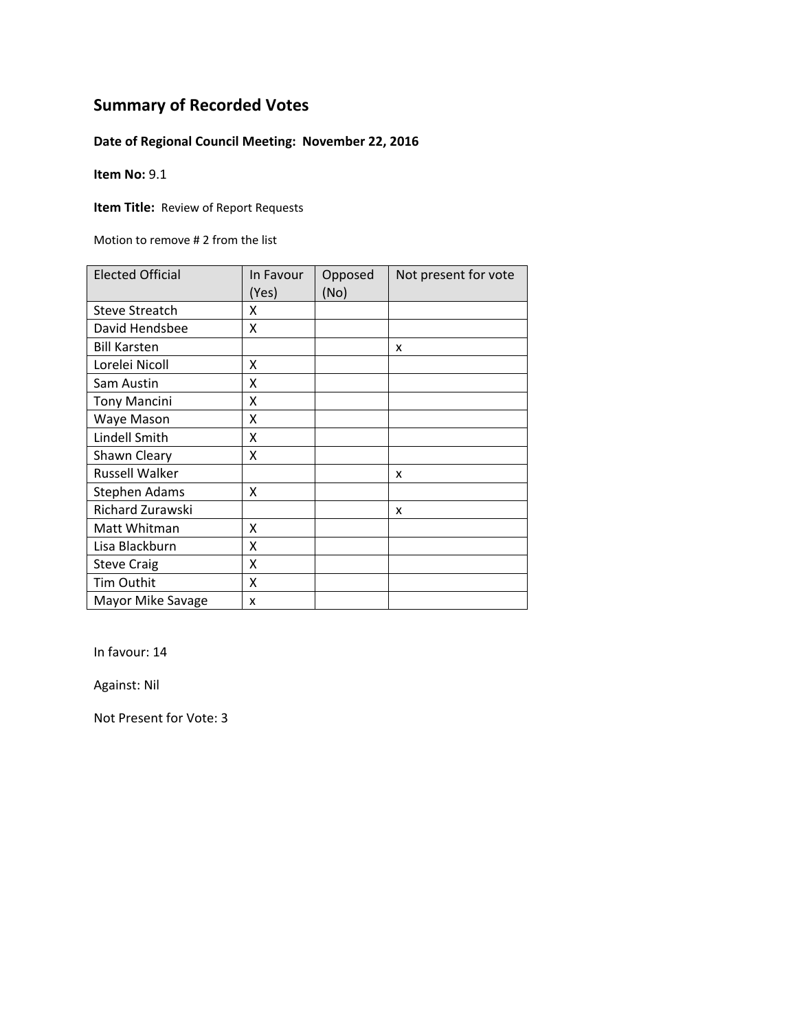### **Date of Regional Council Meeting: November 22, 2016**

**Item No:** 9.1

**Item Title: Review of Report Requests** 

Motion to remove # 2 from the list

| <b>Elected Official</b> | In Favour<br>(Yes) | Opposed<br>(No) | Not present for vote |
|-------------------------|--------------------|-----------------|----------------------|
| <b>Steve Streatch</b>   | χ                  |                 |                      |
| David Hendsbee          | X                  |                 |                      |
| <b>Bill Karsten</b>     |                    |                 | x                    |
| Lorelei Nicoll          | x                  |                 |                      |
| Sam Austin              | Χ                  |                 |                      |
| <b>Tony Mancini</b>     | Χ                  |                 |                      |
| Waye Mason              | Χ                  |                 |                      |
| Lindell Smith           | Χ                  |                 |                      |
| Shawn Cleary            | Χ                  |                 |                      |
| <b>Russell Walker</b>   |                    |                 | x                    |
| <b>Stephen Adams</b>    | Χ                  |                 |                      |
| <b>Richard Zurawski</b> |                    |                 | x                    |
| Matt Whitman            | X                  |                 |                      |
| Lisa Blackburn          | X                  |                 |                      |
| <b>Steve Craig</b>      | X                  |                 |                      |
| <b>Tim Outhit</b>       | X                  |                 |                      |
| Mayor Mike Savage       | X                  |                 |                      |

In favour: 14

Against: Nil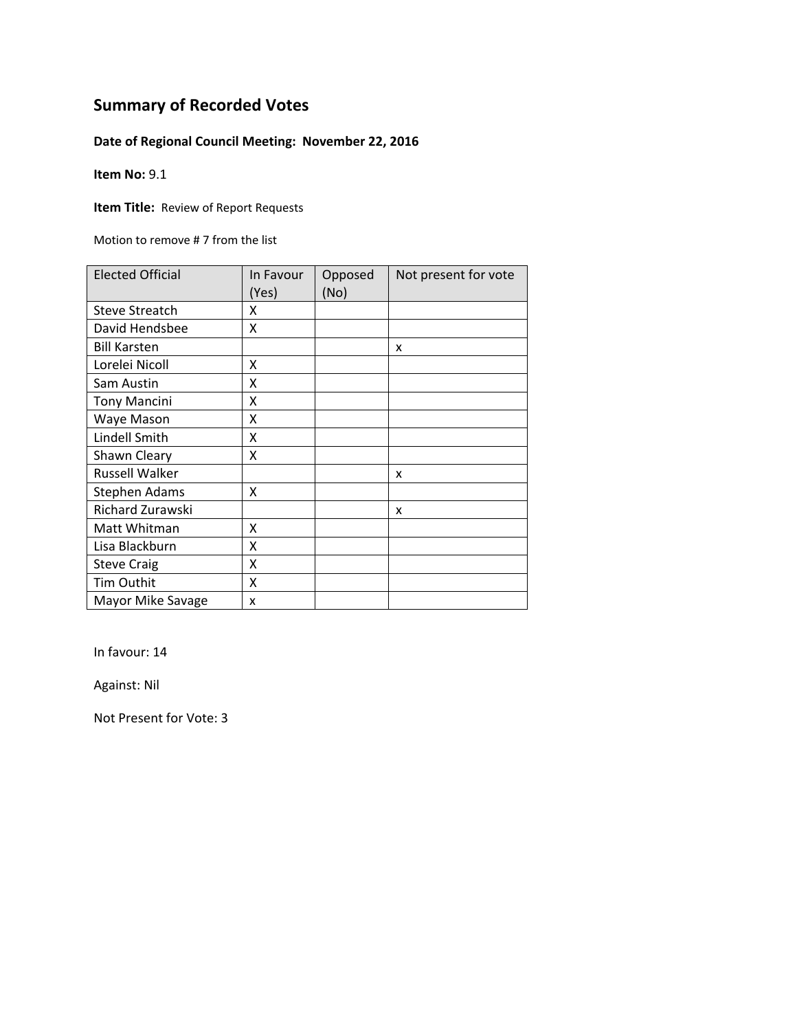### **Date of Regional Council Meeting: November 22, 2016**

**Item No:** 9.1

**Item Title: Review of Report Requests** 

Motion to remove # 7 from the list

| <b>Elected Official</b> | In Favour<br>(Yes) | Opposed<br>(No) | Not present for vote |
|-------------------------|--------------------|-----------------|----------------------|
| <b>Steve Streatch</b>   | χ                  |                 |                      |
| David Hendsbee          | X                  |                 |                      |
| <b>Bill Karsten</b>     |                    |                 | x                    |
| Lorelei Nicoll          | x                  |                 |                      |
| Sam Austin              | Χ                  |                 |                      |
| <b>Tony Mancini</b>     | Χ                  |                 |                      |
| Waye Mason              | Χ                  |                 |                      |
| Lindell Smith           | Χ                  |                 |                      |
| Shawn Cleary            | Χ                  |                 |                      |
| <b>Russell Walker</b>   |                    |                 | x                    |
| <b>Stephen Adams</b>    | Χ                  |                 |                      |
| <b>Richard Zurawski</b> |                    |                 | x                    |
| Matt Whitman            | X                  |                 |                      |
| Lisa Blackburn          | X                  |                 |                      |
| <b>Steve Craig</b>      | X                  |                 |                      |
| <b>Tim Outhit</b>       | X                  |                 |                      |
| Mayor Mike Savage       | X                  |                 |                      |

In favour: 14

Against: Nil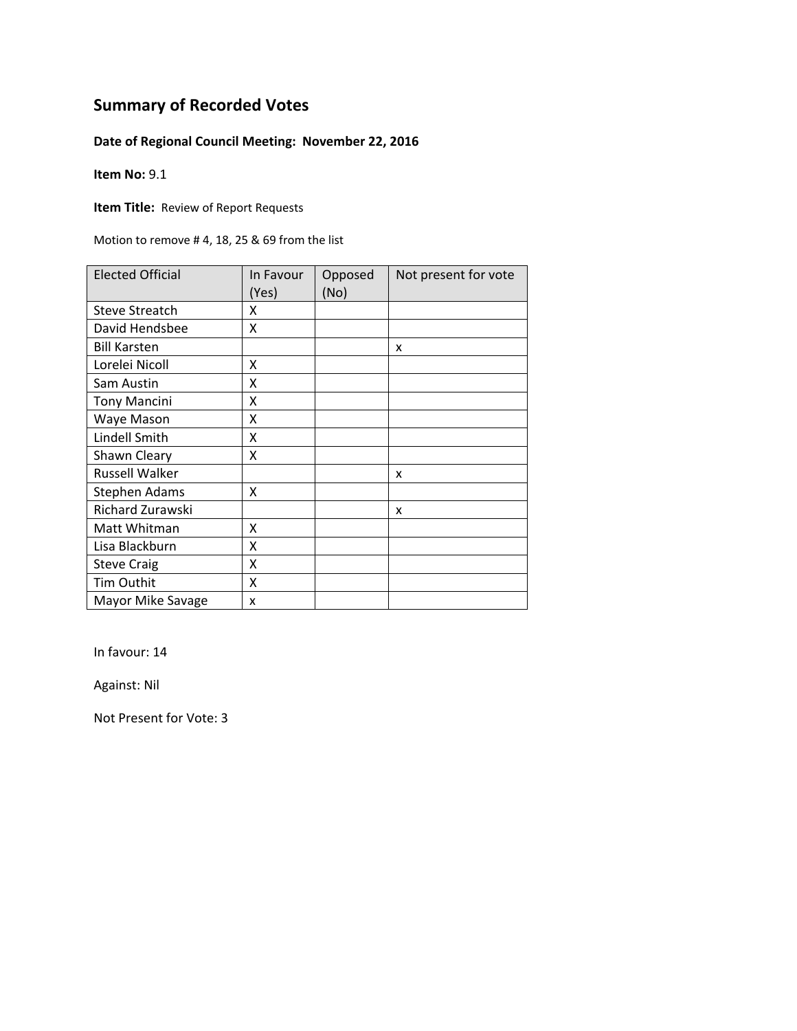### **Date of Regional Council Meeting: November 22, 2016**

**Item No:** 9.1

**Item Title: Review of Report Requests** 

Motion to remove # 4, 18, 25 & 69 from the list

| <b>Elected Official</b> | In Favour<br>(Yes) | Opposed<br>(No) | Not present for vote |
|-------------------------|--------------------|-----------------|----------------------|
| <b>Steve Streatch</b>   | χ                  |                 |                      |
| David Hendsbee          | Χ                  |                 |                      |
| <b>Bill Karsten</b>     |                    |                 | x                    |
| Lorelei Nicoll          | x                  |                 |                      |
| Sam Austin              | Χ                  |                 |                      |
| <b>Tony Mancini</b>     | Χ                  |                 |                      |
| Waye Mason              | Χ                  |                 |                      |
| Lindell Smith           | χ                  |                 |                      |
| Shawn Cleary            | χ                  |                 |                      |
| <b>Russell Walker</b>   |                    |                 | x                    |
| <b>Stephen Adams</b>    | Χ                  |                 |                      |
| <b>Richard Zurawski</b> |                    |                 | x                    |
| Matt Whitman            | X                  |                 |                      |
| Lisa Blackburn          | X                  |                 |                      |
| <b>Steve Craig</b>      | X                  |                 |                      |
| <b>Tim Outhit</b>       | X                  |                 |                      |
| Mayor Mike Savage       | x                  |                 |                      |

In favour: 14

Against: Nil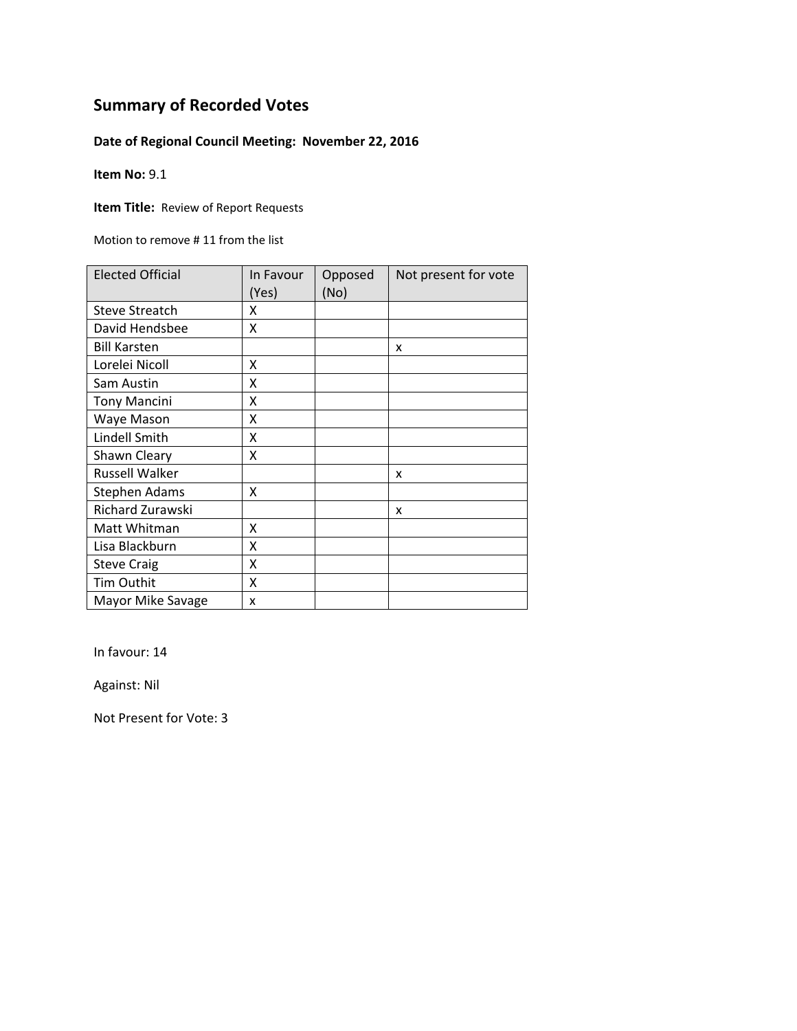### **Date of Regional Council Meeting: November 22, 2016**

**Item No:** 9.1

**Item Title: Review of Report Requests** 

Motion to remove # 11 from the list

| <b>Elected Official</b> | In Favour<br>(Yes) | Opposed<br>(No) | Not present for vote |
|-------------------------|--------------------|-----------------|----------------------|
| <b>Steve Streatch</b>   | x                  |                 |                      |
| David Hendsbee          | X                  |                 |                      |
| <b>Bill Karsten</b>     |                    |                 | x                    |
| Lorelei Nicoll          | X                  |                 |                      |
| Sam Austin              | X                  |                 |                      |
| <b>Tony Mancini</b>     | X                  |                 |                      |
| Waye Mason              | X                  |                 |                      |
| Lindell Smith           | X                  |                 |                      |
| Shawn Cleary            | X                  |                 |                      |
| <b>Russell Walker</b>   |                    |                 | x                    |
| <b>Stephen Adams</b>    | X                  |                 |                      |
| <b>Richard Zurawski</b> |                    |                 | x                    |
| Matt Whitman            | X                  |                 |                      |
| Lisa Blackburn          | X                  |                 |                      |
| <b>Steve Craig</b>      | X                  |                 |                      |
| <b>Tim Outhit</b>       | X                  |                 |                      |
| Mayor Mike Savage       | x                  |                 |                      |

In favour: 14

Against: Nil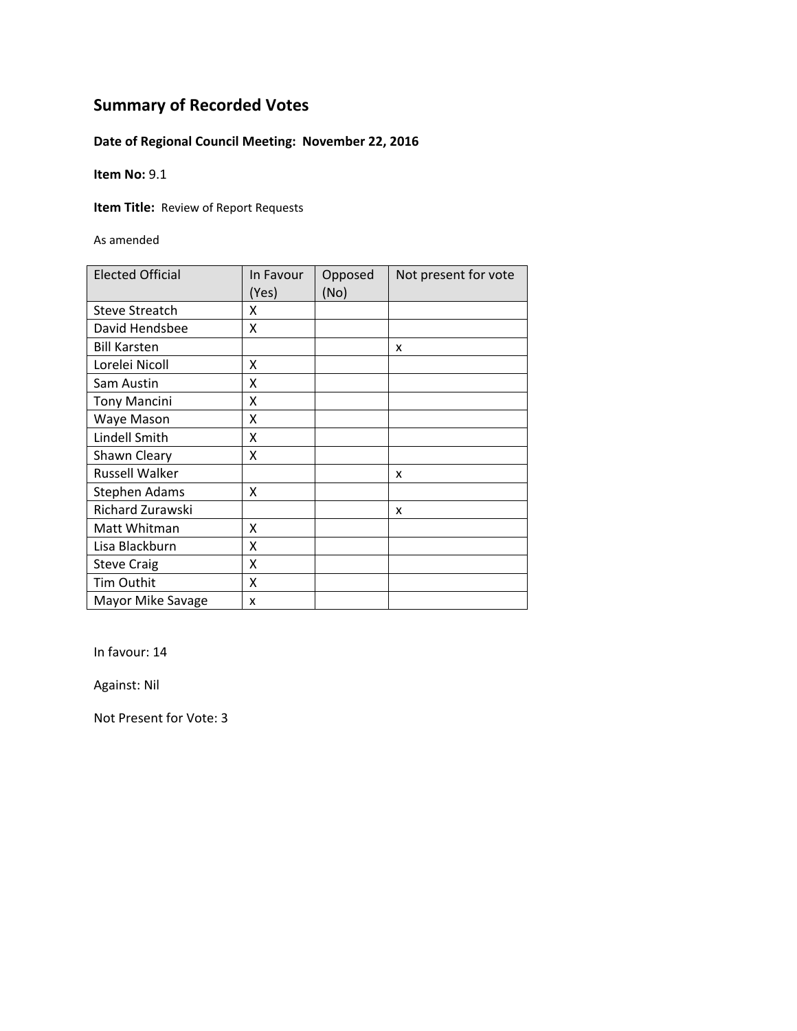### **Date of Regional Council Meeting: November 22, 2016**

**Item No:** 9.1

**Item Title: Review of Report Requests** 

As amended

| <b>Elected Official</b> | In Favour<br>(Yes) | Opposed<br>(No) | Not present for vote |
|-------------------------|--------------------|-----------------|----------------------|
| <b>Steve Streatch</b>   | x                  |                 |                      |
| David Hendsbee          | x                  |                 |                      |
| <b>Bill Karsten</b>     |                    |                 | x                    |
| Lorelei Nicoll          | x                  |                 |                      |
| Sam Austin              | X                  |                 |                      |
| <b>Tony Mancini</b>     | Χ                  |                 |                      |
| Waye Mason              | x                  |                 |                      |
| Lindell Smith           | X                  |                 |                      |
| Shawn Cleary            | x                  |                 |                      |
| <b>Russell Walker</b>   |                    |                 | X                    |
| <b>Stephen Adams</b>    | x                  |                 |                      |
| Richard Zurawski        |                    |                 | x                    |
| Matt Whitman            | x                  |                 |                      |
| Lisa Blackburn          | X                  |                 |                      |
| <b>Steve Craig</b>      | Χ                  |                 |                      |
| <b>Tim Outhit</b>       | Χ                  |                 |                      |
| Mayor Mike Savage       | X                  |                 |                      |

In favour: 14

Against: Nil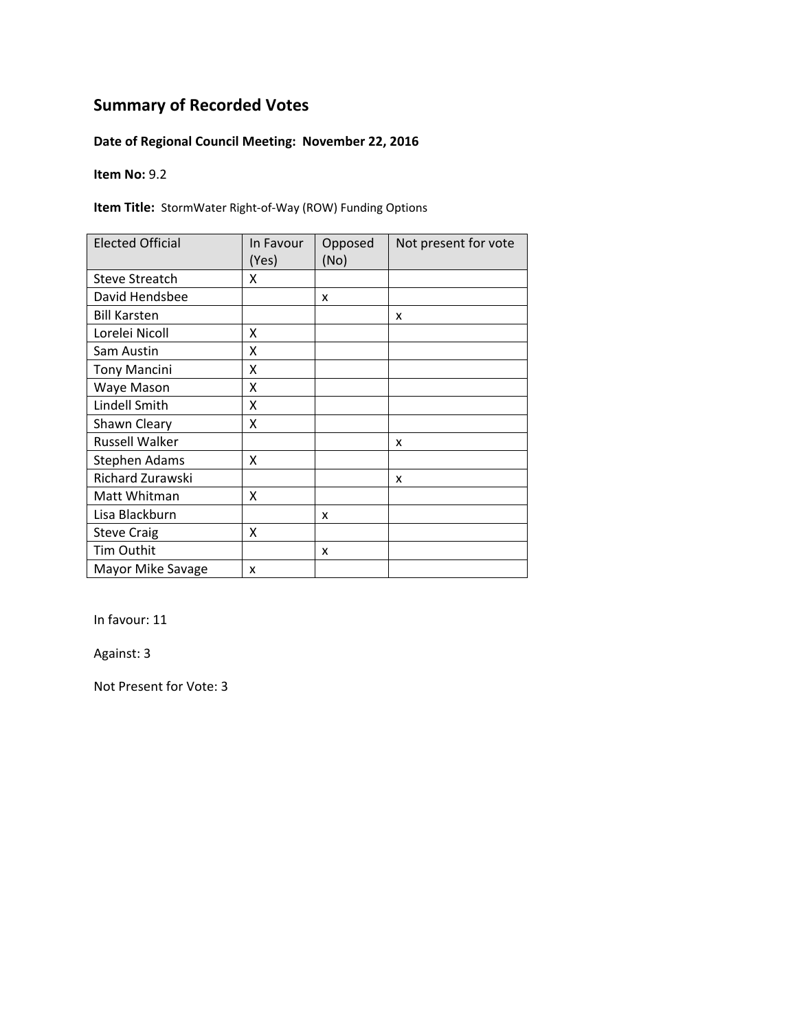### **Date of Regional Council Meeting: November 22, 2016**

**Item No:** 9.2

**Item Title:** StormWater Right‐of‐Way (ROW) Funding Options

| <b>Elected Official</b> | In Favour<br>(Yes) | Opposed<br>(No) | Not present for vote |
|-------------------------|--------------------|-----------------|----------------------|
| <b>Steve Streatch</b>   | x                  |                 |                      |
| David Hendsbee          |                    | x               |                      |
| <b>Bill Karsten</b>     |                    |                 | x                    |
| Lorelei Nicoll          | x                  |                 |                      |
| Sam Austin              | X                  |                 |                      |
| <b>Tony Mancini</b>     | Χ                  |                 |                      |
| Waye Mason              | X                  |                 |                      |
| Lindell Smith           | X                  |                 |                      |
| Shawn Cleary            | x                  |                 |                      |
| <b>Russell Walker</b>   |                    |                 | x                    |
| <b>Stephen Adams</b>    | x                  |                 |                      |
| Richard Zurawski        |                    |                 | x                    |
| Matt Whitman            | x                  |                 |                      |
| Lisa Blackburn          |                    | x               |                      |
| <b>Steve Craig</b>      | X                  |                 |                      |
| <b>Tim Outhit</b>       |                    | x               |                      |
| Mayor Mike Savage       | x                  |                 |                      |

In favour: 11

Against: 3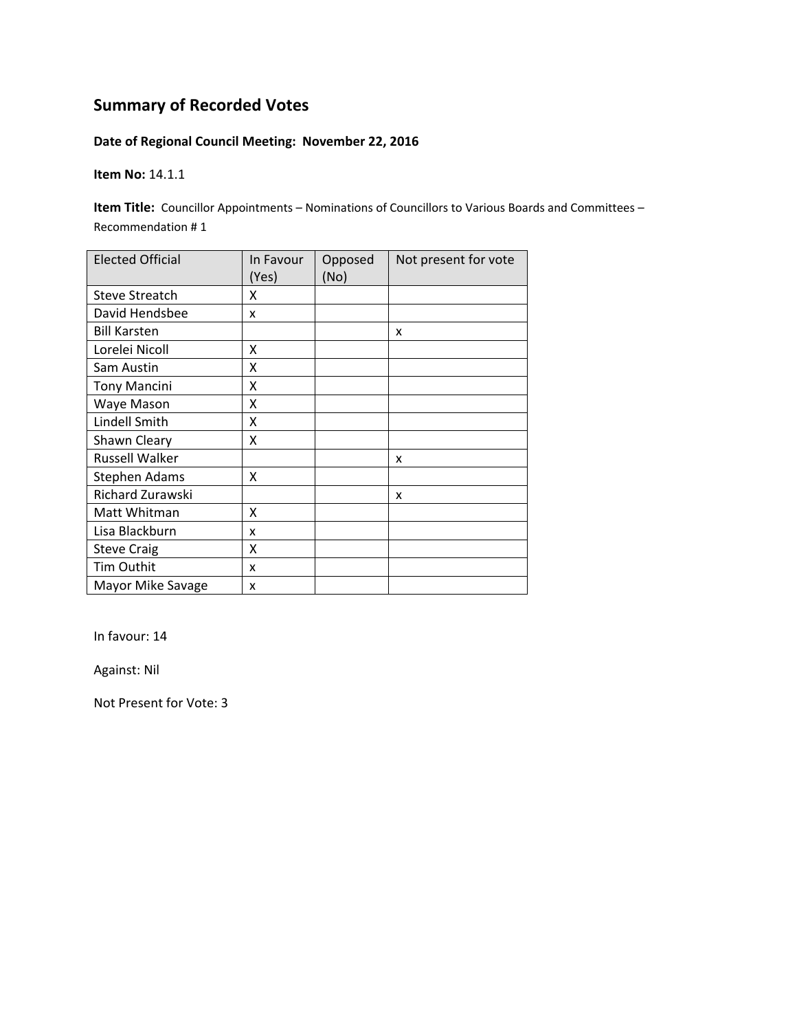### **Date of Regional Council Meeting: November 22, 2016**

**Item No:** 14.1.1

**Item Title:** Councillor Appointments – Nominations of Councillors to Various Boards and Committees – Recommendation # 1

| <b>Elected Official</b> | In Favour<br>(Yes) | Opposed<br>(No) | Not present for vote |
|-------------------------|--------------------|-----------------|----------------------|
| <b>Steve Streatch</b>   | x                  |                 |                      |
| David Hendsbee          | x                  |                 |                      |
| <b>Bill Karsten</b>     |                    |                 | X                    |
| Lorelei Nicoll          | x                  |                 |                      |
| Sam Austin              | x                  |                 |                      |
| <b>Tony Mancini</b>     | Χ                  |                 |                      |
| Waye Mason              | Χ                  |                 |                      |
| Lindell Smith           | Χ                  |                 |                      |
| Shawn Cleary            | X                  |                 |                      |
| <b>Russell Walker</b>   |                    |                 | x                    |
| <b>Stephen Adams</b>    | X                  |                 |                      |
| Richard Zurawski        |                    |                 | x                    |
| Matt Whitman            | X                  |                 |                      |
| Lisa Blackburn          | x                  |                 |                      |
| <b>Steve Craig</b>      | Χ                  |                 |                      |
| Tim Outhit              | x                  |                 |                      |
| Mayor Mike Savage       | x                  |                 |                      |

In favour: 14

Against: Nil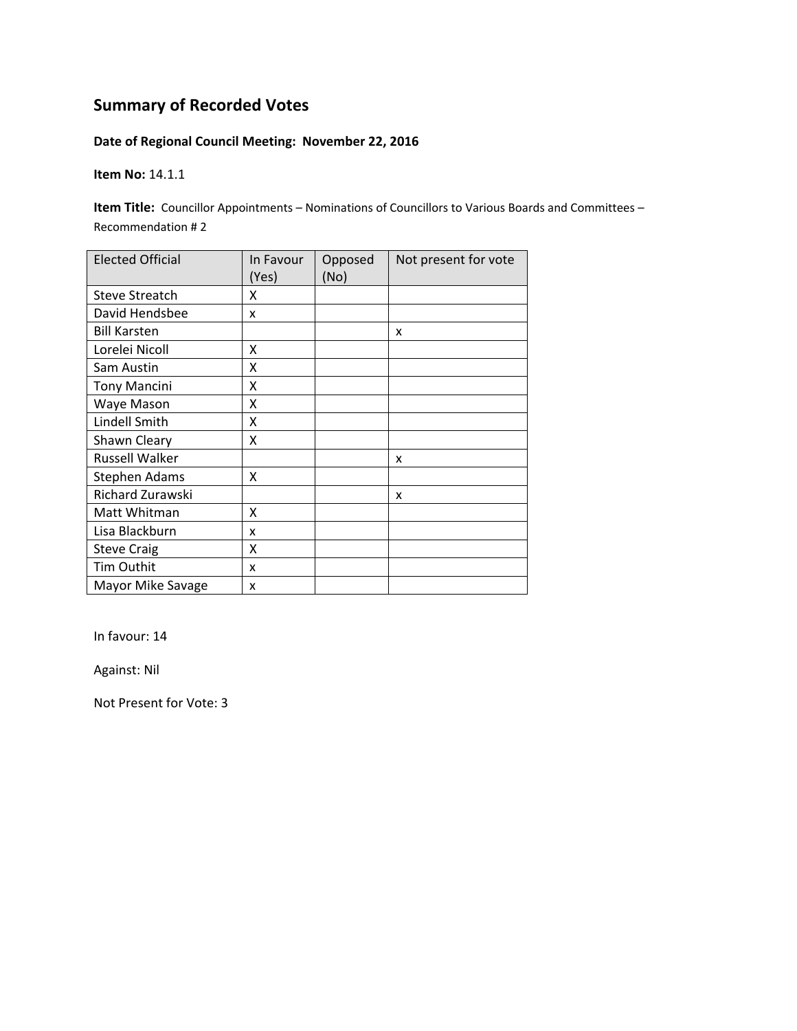### **Date of Regional Council Meeting: November 22, 2016**

**Item No:** 14.1.1

**Item Title:** Councillor Appointments – Nominations of Councillors to Various Boards and Committees – Recommendation # 2

| <b>Elected Official</b> | In Favour<br>(Yes) | Opposed<br>(No) | Not present for vote |
|-------------------------|--------------------|-----------------|----------------------|
| <b>Steve Streatch</b>   | x                  |                 |                      |
| David Hendsbee          | x                  |                 |                      |
| <b>Bill Karsten</b>     |                    |                 | X                    |
| Lorelei Nicoll          | x                  |                 |                      |
| Sam Austin              | x                  |                 |                      |
| <b>Tony Mancini</b>     | Χ                  |                 |                      |
| Waye Mason              | Χ                  |                 |                      |
| Lindell Smith           | Χ                  |                 |                      |
| Shawn Cleary            | X                  |                 |                      |
| Russell Walker          |                    |                 | x                    |
| <b>Stephen Adams</b>    | X                  |                 |                      |
| Richard Zurawski        |                    |                 | x                    |
| Matt Whitman            | X                  |                 |                      |
| Lisa Blackburn          | x                  |                 |                      |
| <b>Steve Craig</b>      | Χ                  |                 |                      |
| Tim Outhit              | x                  |                 |                      |
| Mayor Mike Savage       | x                  |                 |                      |

In favour: 14

Against: Nil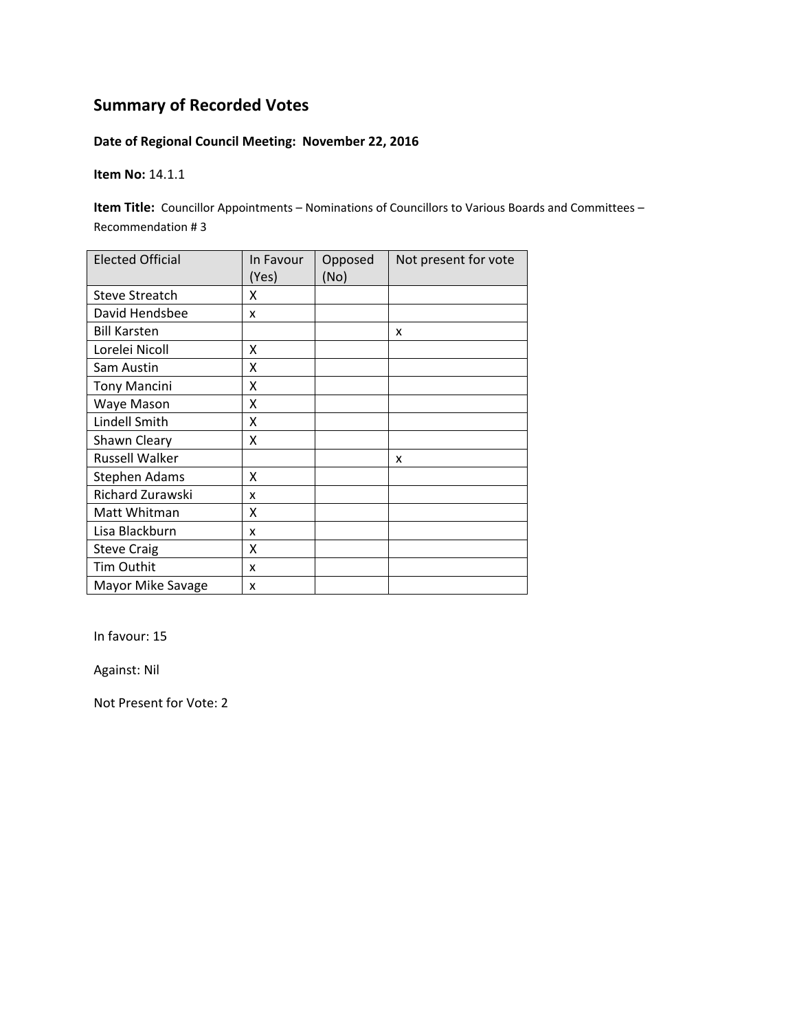### **Date of Regional Council Meeting: November 22, 2016**

**Item No:** 14.1.1

**Item Title:** Councillor Appointments – Nominations of Councillors to Various Boards and Committees – Recommendation # 3

| <b>Elected Official</b> | In Favour<br>(Yes) | Opposed<br>(No) | Not present for vote |
|-------------------------|--------------------|-----------------|----------------------|
| <b>Steve Streatch</b>   | x                  |                 |                      |
| David Hendsbee          | x                  |                 |                      |
| <b>Bill Karsten</b>     |                    |                 | x                    |
| Lorelei Nicoll          | X                  |                 |                      |
| Sam Austin              | X                  |                 |                      |
| <b>Tony Mancini</b>     | Χ                  |                 |                      |
| Waye Mason              | x                  |                 |                      |
| Lindell Smith           | X                  |                 |                      |
| Shawn Cleary            | Χ                  |                 |                      |
| Russell Walker          |                    |                 | x                    |
| <b>Stephen Adams</b>    | x                  |                 |                      |
| Richard Zurawski        | x                  |                 |                      |
| Matt Whitman            | Χ                  |                 |                      |
| Lisa Blackburn          | x                  |                 |                      |
| <b>Steve Craig</b>      | Χ                  |                 |                      |
| Tim Outhit              | x                  |                 |                      |
| Mayor Mike Savage       | x                  |                 |                      |

In favour: 15

Against: Nil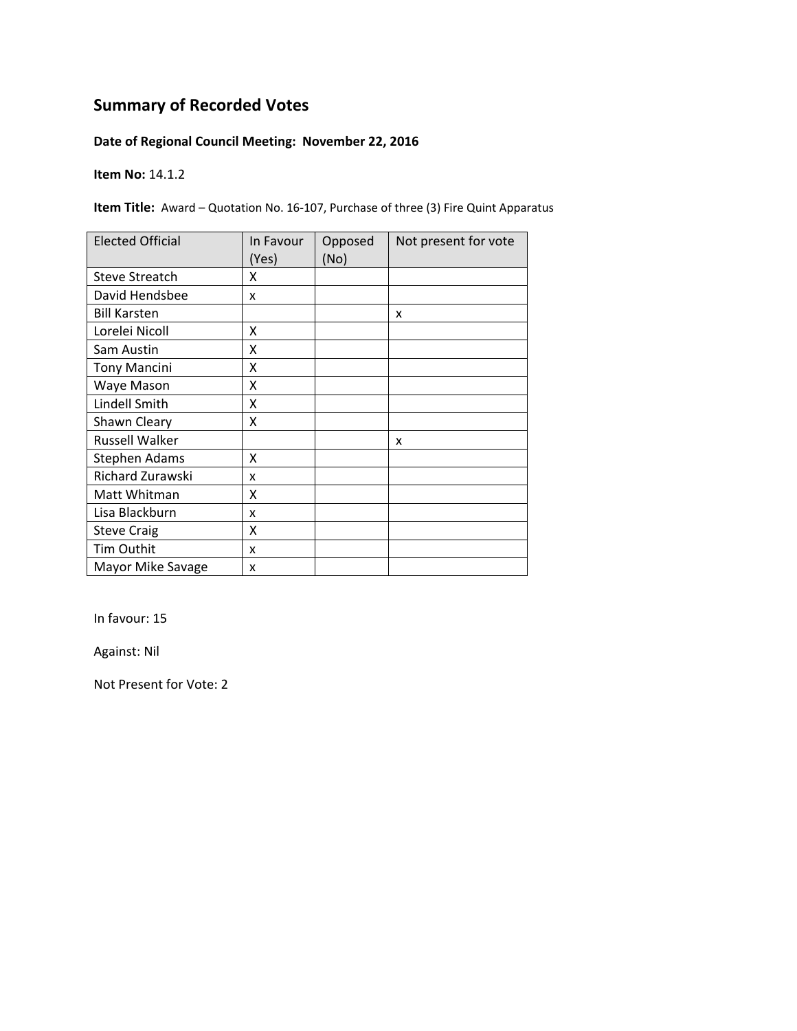### **Date of Regional Council Meeting: November 22, 2016**

**Item No:** 14.1.2

**Item Title:** Award – Quotation No. 16-107, Purchase of three (3) Fire Quint Apparatus

| <b>Elected Official</b> | In Favour<br>(Yes) | Opposed<br>(No) | Not present for vote |
|-------------------------|--------------------|-----------------|----------------------|
| <b>Steve Streatch</b>   | x                  |                 |                      |
| David Hendsbee          | x                  |                 |                      |
| <b>Bill Karsten</b>     |                    |                 | x                    |
| Lorelei Nicoll          | x                  |                 |                      |
| Sam Austin              | X                  |                 |                      |
| <b>Tony Mancini</b>     | Χ                  |                 |                      |
| Waye Mason              | Χ                  |                 |                      |
| Lindell Smith           | x                  |                 |                      |
| Shawn Cleary            | x                  |                 |                      |
| Russell Walker          |                    |                 | x                    |
| Stephen Adams           | X                  |                 |                      |
| Richard Zurawski        | x                  |                 |                      |
| Matt Whitman            | X                  |                 |                      |
| Lisa Blackburn          | x                  |                 |                      |
| <b>Steve Craig</b>      | Χ                  |                 |                      |
| Tim Outhit              | x                  |                 |                      |
| Mayor Mike Savage       | x                  |                 |                      |

In favour: 15

Against: Nil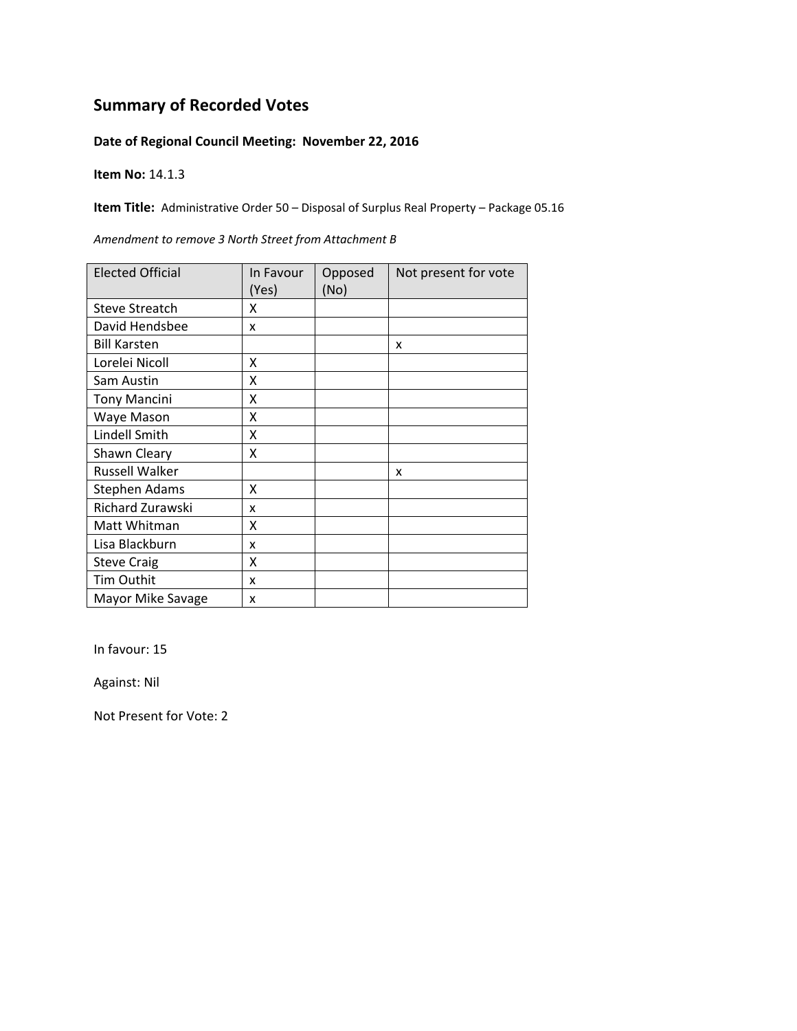#### **Date of Regional Council Meeting: November 22, 2016**

**Item No:** 14.1.3

**Item Title:** Administrative Order 50 – Disposal of Surplus Real Property – Package 05.16

| <b>Elected Official</b> | In Favour | Opposed | Not present for vote |
|-------------------------|-----------|---------|----------------------|
|                         | (Yes)     | (No)    |                      |
| <b>Steve Streatch</b>   | x         |         |                      |
| David Hendsbee          | x         |         |                      |
| <b>Bill Karsten</b>     |           |         | x                    |
| Lorelei Nicoll          | X         |         |                      |
| Sam Austin              | X         |         |                      |
| <b>Tony Mancini</b>     | X         |         |                      |
| Waye Mason              | Χ         |         |                      |
| Lindell Smith           | X         |         |                      |
| Shawn Cleary            | X         |         |                      |
| <b>Russell Walker</b>   |           |         | x                    |
| Stephen Adams           | X         |         |                      |
| Richard Zurawski        | x         |         |                      |
| Matt Whitman            | X         |         |                      |
| Lisa Blackburn          | x         |         |                      |
| <b>Steve Craig</b>      | Χ         |         |                      |
| Tim Outhit              | x         |         |                      |
| Mayor Mike Savage       | x         |         |                      |

*Amendment to remove 3 North Street from Attachment B*

In favour: 15

Against: Nil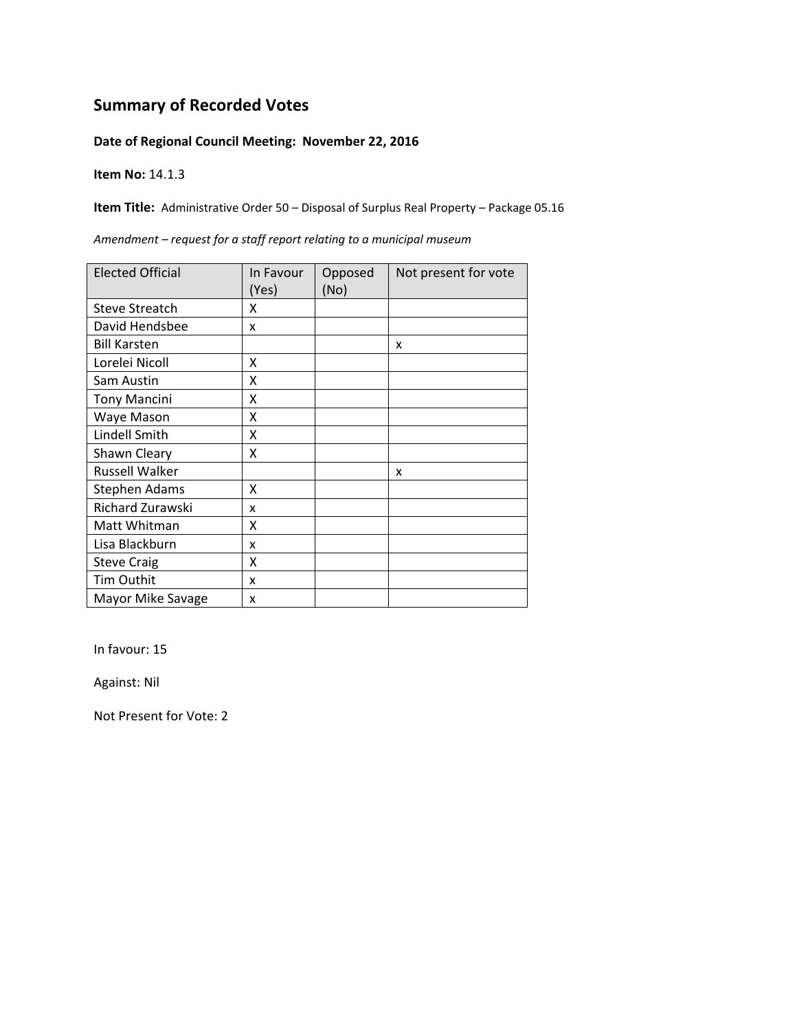#### **Date of Regional Council Meeting: November 22, 2016**

**Item No:** 14.1.3

**Item Title:** Administrative Order 50 – Disposal of Surplus Real Property – Package 05.16

| <b>Elected Official</b> | In Favour<br>(Yes) | Opposed<br>(No) | Not present for vote |
|-------------------------|--------------------|-----------------|----------------------|
| <b>Steve Streatch</b>   | x                  |                 |                      |
| David Hendsbee          | x                  |                 |                      |
| <b>Bill Karsten</b>     |                    |                 | x                    |
| Lorelei Nicoll          | Χ                  |                 |                      |
| Sam Austin              | X                  |                 |                      |
| <b>Tony Mancini</b>     | x                  |                 |                      |
| Waye Mason              | x                  |                 |                      |
| Lindell Smith           | X                  |                 |                      |
| Shawn Cleary            | Χ                  |                 |                      |
| Russell Walker          |                    |                 | x                    |
| <b>Stephen Adams</b>    | X                  |                 |                      |
| Richard Zurawski        | x                  |                 |                      |
| Matt Whitman            | X                  |                 |                      |
| Lisa Blackburn          | x                  |                 |                      |
| <b>Steve Craig</b>      | X                  |                 |                      |
| Tim Outhit              | x                  |                 |                      |
| Mayor Mike Savage       | x                  |                 |                      |

*Amendment – request for a staff report relating to a municipal museum*

In favour: 15

Against: Nil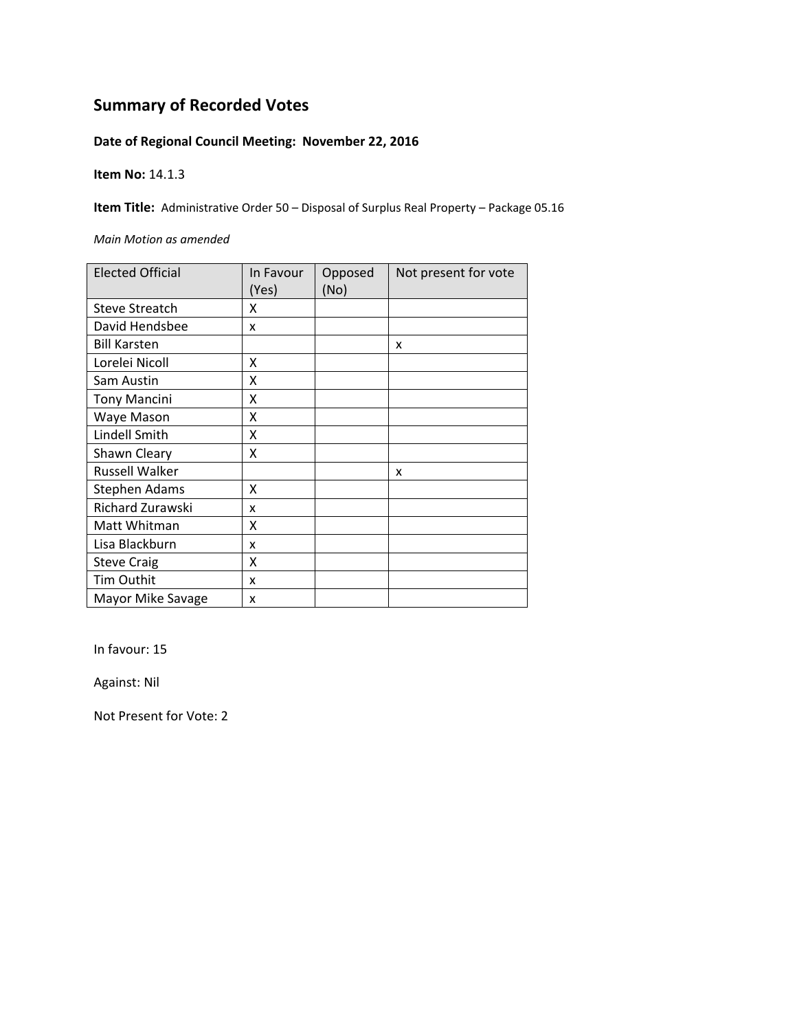### **Date of Regional Council Meeting: November 22, 2016**

**Item No:** 14.1.3

**Item Title:** Administrative Order 50 – Disposal of Surplus Real Property – Package 05.16

*Main Motion as amended*

| <b>Elected Official</b> | In Favour<br>(Yes) | Opposed<br>(No) | Not present for vote |
|-------------------------|--------------------|-----------------|----------------------|
| <b>Steve Streatch</b>   | x                  |                 |                      |
| David Hendsbee          | X                  |                 |                      |
| <b>Bill Karsten</b>     |                    |                 | X                    |
| Lorelei Nicoll          | x                  |                 |                      |
| Sam Austin              | X                  |                 |                      |
| <b>Tony Mancini</b>     | X                  |                 |                      |
| Waye Mason              | Χ                  |                 |                      |
| Lindell Smith           | Χ                  |                 |                      |
| Shawn Cleary            | x                  |                 |                      |
| Russell Walker          |                    |                 | x                    |
| <b>Stephen Adams</b>    | x                  |                 |                      |
| Richard Zurawski        | x                  |                 |                      |
| Matt Whitman            | χ                  |                 |                      |
| Lisa Blackburn          | x                  |                 |                      |
| <b>Steve Craig</b>      | Χ                  |                 |                      |
| Tim Outhit              | x                  |                 |                      |
| Mayor Mike Savage       | x                  |                 |                      |

In favour: 15

Against: Nil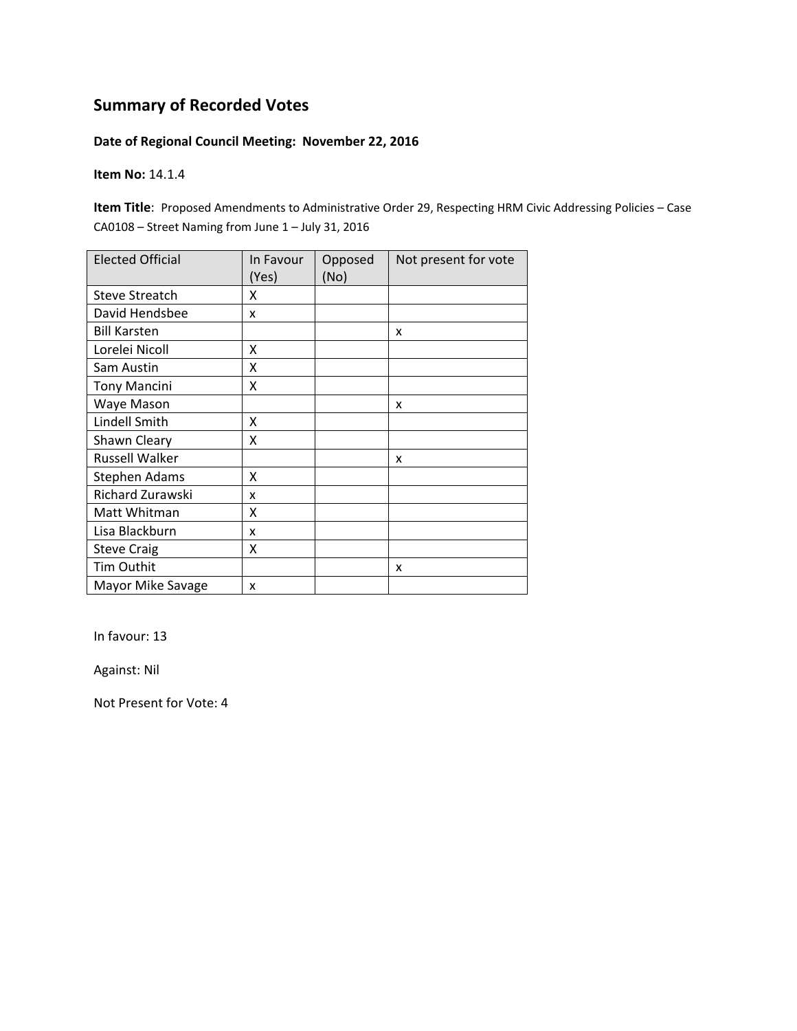#### **Date of Regional Council Meeting: November 22, 2016**

**Item No:** 14.1.4

**Item Title**: Proposed Amendments to Administrative Order 29, Respecting HRM Civic Addressing Policies – Case CA0108 – Street Naming from June 1 – July 31, 2016

| <b>Elected Official</b> | In Favour<br>(Yes) | Opposed<br>(No) | Not present for vote |
|-------------------------|--------------------|-----------------|----------------------|
| <b>Steve Streatch</b>   | x                  |                 |                      |
| David Hendsbee          | x                  |                 |                      |
| <b>Bill Karsten</b>     |                    |                 | X                    |
| Lorelei Nicoll          | x                  |                 |                      |
| Sam Austin              | X                  |                 |                      |
| <b>Tony Mancini</b>     | X                  |                 |                      |
| Waye Mason              |                    |                 | x                    |
| Lindell Smith           | Χ                  |                 |                      |
| Shawn Cleary            | Χ                  |                 |                      |
| <b>Russell Walker</b>   |                    |                 | x                    |
| Stephen Adams           | x                  |                 |                      |
| Richard Zurawski        | x                  |                 |                      |
| Matt Whitman            | X                  |                 |                      |
| Lisa Blackburn          | x                  |                 |                      |
| <b>Steve Craig</b>      | Χ                  |                 |                      |
| Tim Outhit              |                    |                 | X                    |
| Mayor Mike Savage       | x                  |                 |                      |

In favour: 13

Against: Nil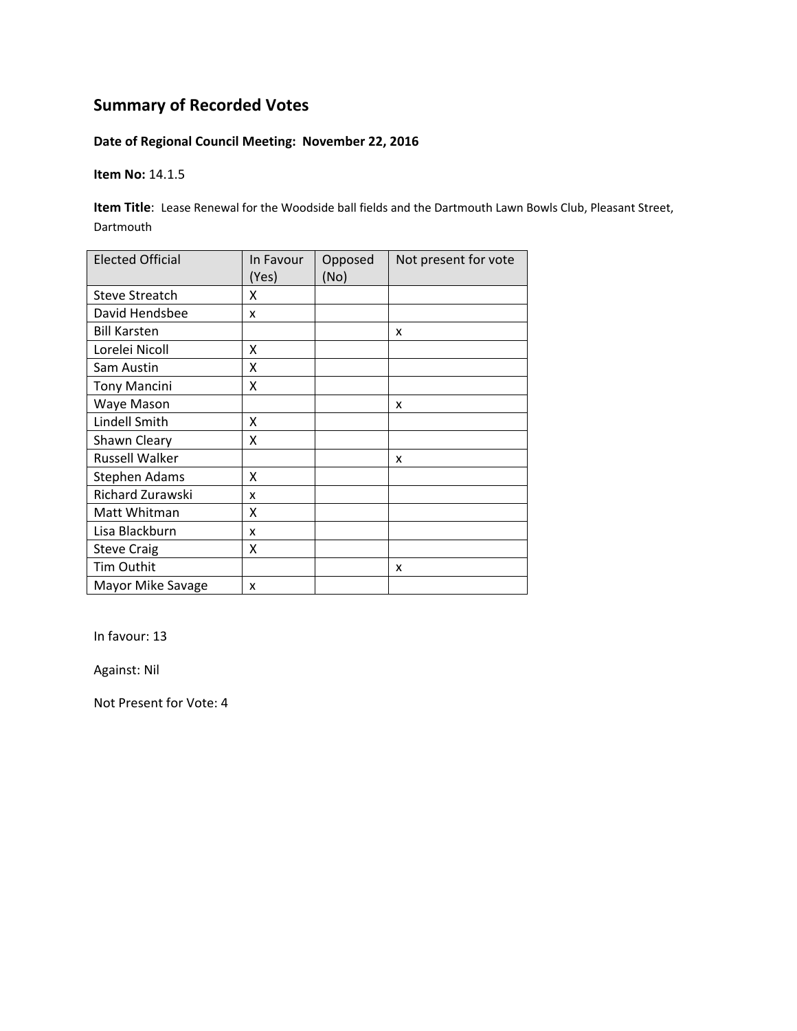### **Date of Regional Council Meeting: November 22, 2016**

**Item No:** 14.1.5

**Item Title**: Lease Renewal for the Woodside ball fields and the Dartmouth Lawn Bowls Club, Pleasant Street, Dartmouth

| <b>Elected Official</b> | In Favour<br>(Yes) | Opposed<br>(No) | Not present for vote |
|-------------------------|--------------------|-----------------|----------------------|
| <b>Steve Streatch</b>   | x                  |                 |                      |
| David Hendsbee          | x                  |                 |                      |
| <b>Bill Karsten</b>     |                    |                 | x                    |
| Lorelei Nicoll          | x                  |                 |                      |
| Sam Austin              | χ                  |                 |                      |
| <b>Tony Mancini</b>     | Χ                  |                 |                      |
| Waye Mason              |                    |                 | x                    |
| Lindell Smith           | x                  |                 |                      |
| Shawn Cleary            | χ                  |                 |                      |
| <b>Russell Walker</b>   |                    |                 | x                    |
| <b>Stephen Adams</b>    | x                  |                 |                      |
| Richard Zurawski        | x                  |                 |                      |
| Matt Whitman            | X                  |                 |                      |
| Lisa Blackburn          | x                  |                 |                      |
| <b>Steve Craig</b>      | Χ                  |                 |                      |
| Tim Outhit              |                    |                 | x                    |
| Mayor Mike Savage       | x                  |                 |                      |

In favour: 13

Against: Nil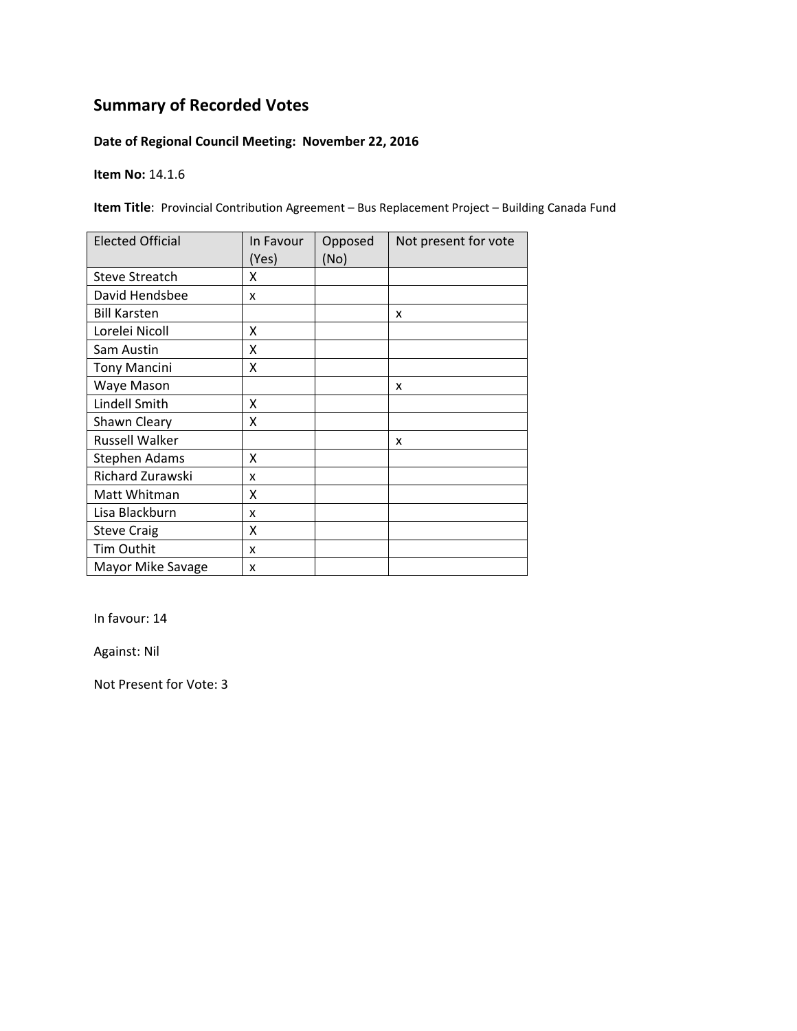### **Date of Regional Council Meeting: November 22, 2016**

**Item No:** 14.1.6

**Item Title**: Provincial Contribution Agreement – Bus Replacement Project – Building Canada Fund

| <b>Elected Official</b> | In Favour<br>(Yes) | Opposed<br>(No) | Not present for vote |
|-------------------------|--------------------|-----------------|----------------------|
| <b>Steve Streatch</b>   | x                  |                 |                      |
| David Hendsbee          | x                  |                 |                      |
| <b>Bill Karsten</b>     |                    |                 | x                    |
| Lorelei Nicoll          | Χ                  |                 |                      |
| Sam Austin              | Χ                  |                 |                      |
| <b>Tony Mancini</b>     | Χ                  |                 |                      |
| Waye Mason              |                    |                 | X                    |
| Lindell Smith           | x                  |                 |                      |
| Shawn Cleary            | x                  |                 |                      |
| <b>Russell Walker</b>   |                    |                 | x                    |
| Stephen Adams           | X                  |                 |                      |
| Richard Zurawski        | x                  |                 |                      |
| Matt Whitman            | X                  |                 |                      |
| Lisa Blackburn          | x                  |                 |                      |
| <b>Steve Craig</b>      | X                  |                 |                      |
| Tim Outhit              | x                  |                 |                      |
| Mayor Mike Savage       | x                  |                 |                      |

In favour: 14

Against: Nil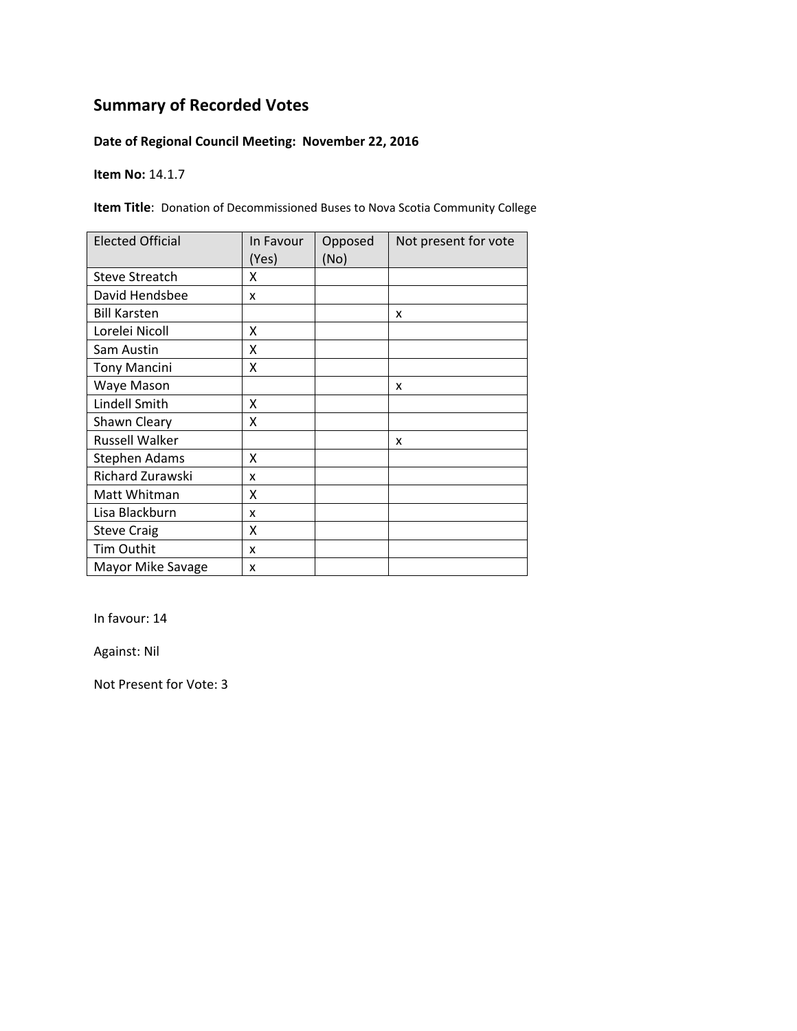### **Date of Regional Council Meeting: November 22, 2016**

**Item No:** 14.1.7

**Item Title**: Donation of Decommissioned Buses to Nova Scotia Community College

| <b>Elected Official</b> | In Favour<br>(Yes) | Opposed<br>(No) | Not present for vote |
|-------------------------|--------------------|-----------------|----------------------|
| <b>Steve Streatch</b>   | x                  |                 |                      |
| David Hendsbee          | x                  |                 |                      |
| <b>Bill Karsten</b>     |                    |                 | x                    |
| Lorelei Nicoll          | X                  |                 |                      |
| Sam Austin              | X                  |                 |                      |
| <b>Tony Mancini</b>     | Χ                  |                 |                      |
| Waye Mason              |                    |                 | X                    |
| Lindell Smith           | x                  |                 |                      |
| Shawn Cleary            | x                  |                 |                      |
| <b>Russell Walker</b>   |                    |                 | x                    |
| Stephen Adams           | x                  |                 |                      |
| Richard Zurawski        | x                  |                 |                      |
| Matt Whitman            | Χ                  |                 |                      |
| Lisa Blackburn          | x                  |                 |                      |
| <b>Steve Craig</b>      | Χ                  |                 |                      |
| Tim Outhit              | x                  |                 |                      |
| Mayor Mike Savage       | x                  |                 |                      |

In favour: 14

Against: Nil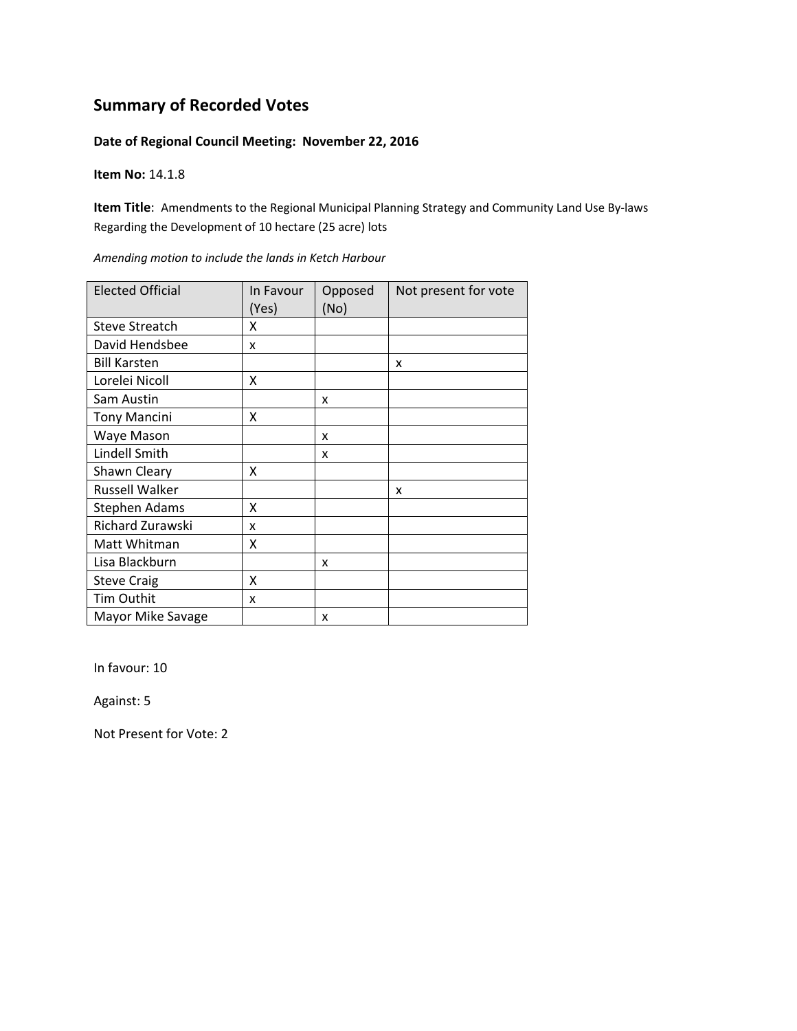#### **Date of Regional Council Meeting: November 22, 2016**

**Item No:** 14.1.8

**Item Title**: Amendments to the Regional Municipal Planning Strategy and Community Land Use By‐laws Regarding the Development of 10 hectare (25 acre) lots

| <b>Elected Official</b> | In Favour<br>(Yes) | Opposed<br>(No) | Not present for vote |
|-------------------------|--------------------|-----------------|----------------------|
| <b>Steve Streatch</b>   | x                  |                 |                      |
| David Hendsbee          | x                  |                 |                      |
| <b>Bill Karsten</b>     |                    |                 | x                    |
| Lorelei Nicoll          | X                  |                 |                      |
| Sam Austin              |                    | x               |                      |
| <b>Tony Mancini</b>     | Χ                  |                 |                      |
| Waye Mason              |                    | X               |                      |
| Lindell Smith           |                    | x               |                      |
| Shawn Cleary            | x                  |                 |                      |
| Russell Walker          |                    |                 | x                    |
| Stephen Adams           | χ                  |                 |                      |
| Richard Zurawski        | x                  |                 |                      |
| Matt Whitman            | χ                  |                 |                      |
| Lisa Blackburn          |                    | X               |                      |
| <b>Steve Craig</b>      | x                  |                 |                      |
| Tim Outhit              | x                  |                 |                      |
| Mayor Mike Savage       |                    | x               |                      |

*Amending motion to include the lands in Ketch Harbour*

In favour: 10

Against: 5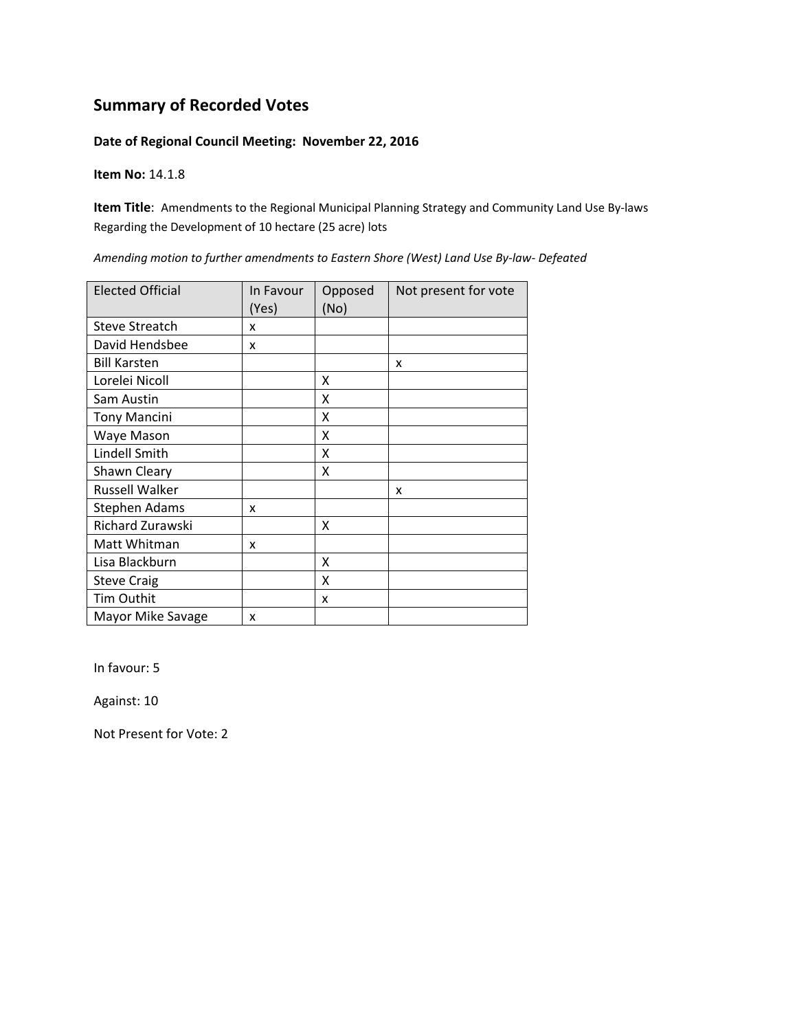#### **Date of Regional Council Meeting: November 22, 2016**

**Item No:** 14.1.8

**Item Title**: Amendments to the Regional Municipal Planning Strategy and Community Land Use By‐laws Regarding the Development of 10 hectare (25 acre) lots

| <b>Elected Official</b> | In Favour<br>(Yes) | Opposed<br>(No) | Not present for vote |
|-------------------------|--------------------|-----------------|----------------------|
| <b>Steve Streatch</b>   | x                  |                 |                      |
| David Hendsbee          | x                  |                 |                      |
| <b>Bill Karsten</b>     |                    |                 | X                    |
| Lorelei Nicoll          |                    | X               |                      |
| Sam Austin              |                    | X               |                      |
| <b>Tony Mancini</b>     |                    | X               |                      |
| Waye Mason              |                    | X               |                      |
| Lindell Smith           |                    | X               |                      |
| Shawn Cleary            |                    | x               |                      |
| <b>Russell Walker</b>   |                    |                 | x                    |
| Stephen Adams           | x                  |                 |                      |
| Richard Zurawski        |                    | x               |                      |
| Matt Whitman            | x                  |                 |                      |
| Lisa Blackburn          |                    | x               |                      |
| <b>Steve Craig</b>      |                    | x               |                      |
| Tim Outhit              |                    | x               |                      |
| Mayor Mike Savage       | x                  |                 |                      |

*Amending motion to further amendments to Eastern Shore (West) Land Use By‐law‐ Defeated*

In favour: 5

Against: 10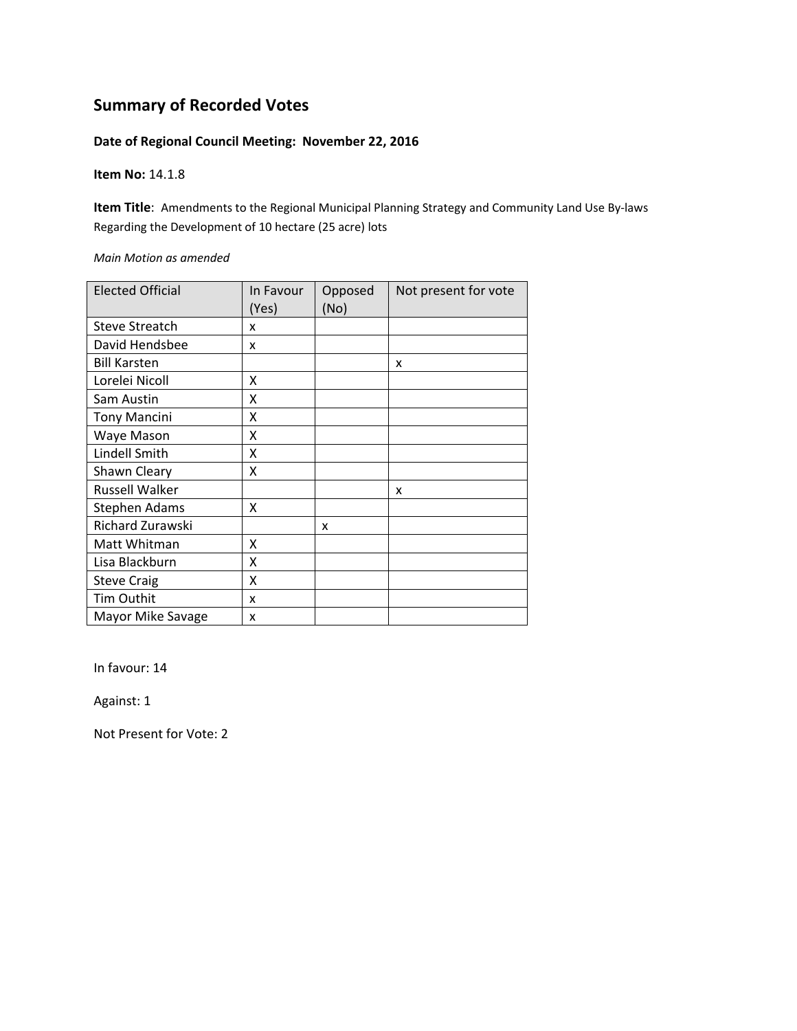#### **Date of Regional Council Meeting: November 22, 2016**

#### **Item No:** 14.1.8

**Item Title**: Amendments to the Regional Municipal Planning Strategy and Community Land Use By‐laws Regarding the Development of 10 hectare (25 acre) lots

#### *Main Motion as amended*

| <b>Elected Official</b> | In Favour<br>(Yes) | Opposed<br>(No) | Not present for vote |
|-------------------------|--------------------|-----------------|----------------------|
| <b>Steve Streatch</b>   | x                  |                 |                      |
| David Hendsbee          | x                  |                 |                      |
| <b>Bill Karsten</b>     |                    |                 | x                    |
| Lorelei Nicoll          | x                  |                 |                      |
| Sam Austin              | Χ                  |                 |                      |
| <b>Tony Mancini</b>     | X                  |                 |                      |
| Waye Mason              | X                  |                 |                      |
| Lindell Smith           | X                  |                 |                      |
| Shawn Cleary            | Χ                  |                 |                      |
| <b>Russell Walker</b>   |                    |                 | x                    |
| <b>Stephen Adams</b>    | x                  |                 |                      |
| Richard Zurawski        |                    | x               |                      |
| Matt Whitman            | X                  |                 |                      |
| Lisa Blackburn          | Χ                  |                 |                      |
| <b>Steve Craig</b>      | X                  |                 |                      |
| Tim Outhit              | x                  |                 |                      |
| Mayor Mike Savage       | x                  |                 |                      |

In favour: 14

Against: 1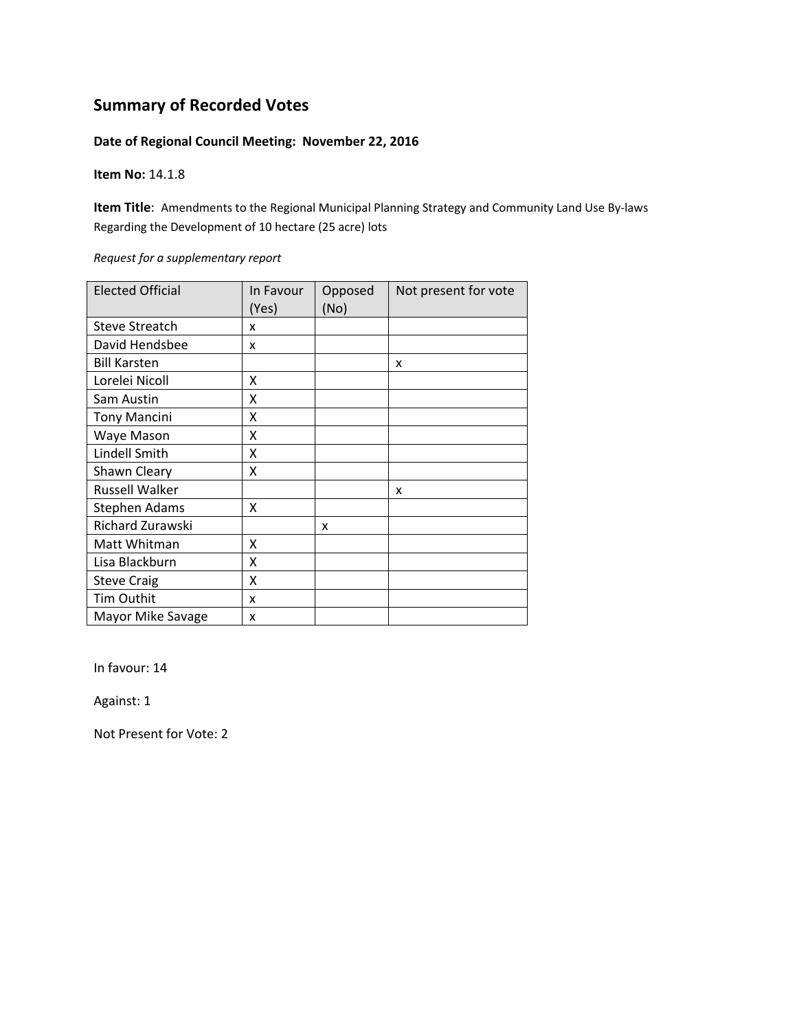#### **Date of Regional Council Meeting: November 22, 2016**

**Item No:** 14.1.8

**Item Title**: Amendments to the Regional Municipal Planning Strategy and Community Land Use By‐laws Regarding the Development of 10 hectare (25 acre) lots

*Request for a supplementary report*

| <b>Elected Official</b> | In Favour<br>(Yes) | Opposed<br>(No) | Not present for vote |
|-------------------------|--------------------|-----------------|----------------------|
| <b>Steve Streatch</b>   | x                  |                 |                      |
| David Hendsbee          | x                  |                 |                      |
| <b>Bill Karsten</b>     |                    |                 | x                    |
| Lorelei Nicoll          | X                  |                 |                      |
| Sam Austin              | X                  |                 |                      |
| <b>Tony Mancini</b>     | x                  |                 |                      |
| Waye Mason              | X                  |                 |                      |
| Lindell Smith           | Χ                  |                 |                      |
| Shawn Cleary            | X                  |                 |                      |
| <b>Russell Walker</b>   |                    |                 | x                    |
| Stephen Adams           | x                  |                 |                      |
| Richard Zurawski        |                    | x               |                      |
| Matt Whitman            | Χ                  |                 |                      |
| Lisa Blackburn          | X                  |                 |                      |
| <b>Steve Craig</b>      | Χ                  |                 |                      |
| Tim Outhit              | x                  |                 |                      |
| Mayor Mike Savage       | x                  |                 |                      |

In favour: 14

Against: 1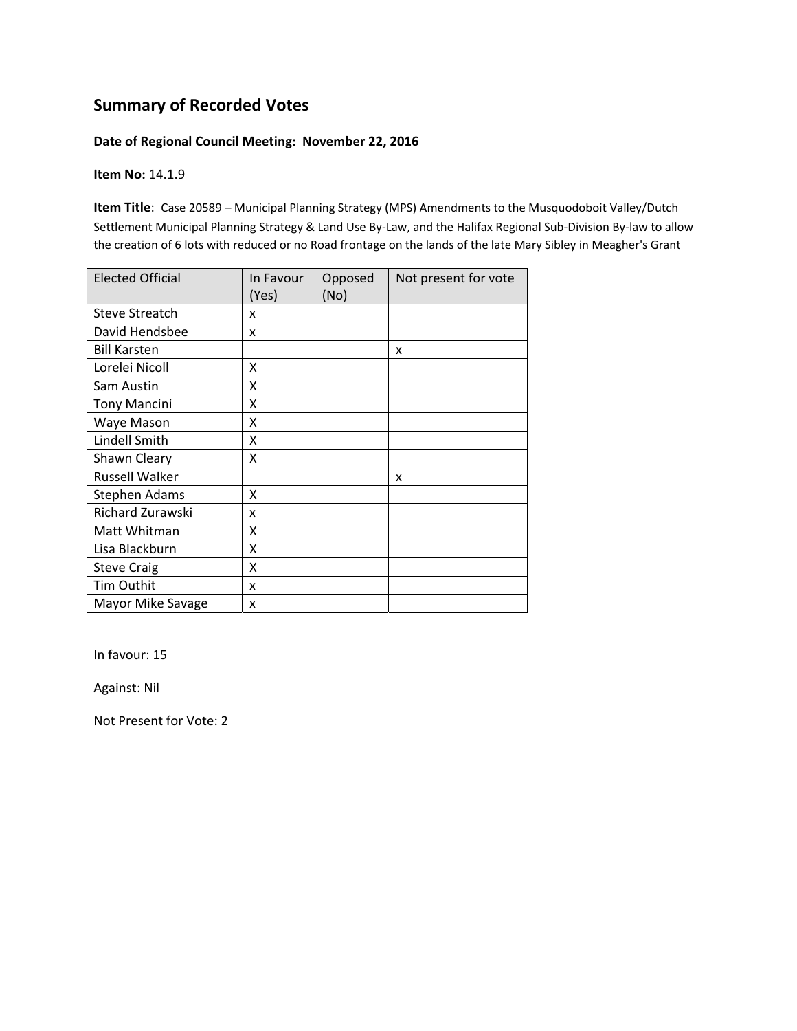#### **Date of Regional Council Meeting: November 22, 2016**

**Item No:** 14.1.9

**Item Title**: Case 20589 – Municipal Planning Strategy (MPS) Amendments to the Musquodoboit Valley/Dutch Settlement Municipal Planning Strategy & Land Use By‐Law, and the Halifax Regional Sub‐Division By‐law to allow the creation of 6 lots with reduced or no Road frontage on the lands of the late Mary Sibley in Meagher's Grant

| <b>Elected Official</b> | In Favour<br>(Yes) | Opposed<br>(No) | Not present for vote |
|-------------------------|--------------------|-----------------|----------------------|
| <b>Steve Streatch</b>   | x                  |                 |                      |
| David Hendsbee          | x                  |                 |                      |
| <b>Bill Karsten</b>     |                    |                 | x                    |
| Lorelei Nicoll          | X                  |                 |                      |
| Sam Austin              | Χ                  |                 |                      |
| <b>Tony Mancini</b>     | X                  |                 |                      |
| Waye Mason              | Χ                  |                 |                      |
| Lindell Smith           | X                  |                 |                      |
| Shawn Cleary            | Χ                  |                 |                      |
| <b>Russell Walker</b>   |                    |                 | x                    |
| Stephen Adams           | X                  |                 |                      |
| Richard Zurawski        | x                  |                 |                      |
| Matt Whitman            | X                  |                 |                      |
| Lisa Blackburn          | x                  |                 |                      |
| <b>Steve Craig</b>      | X                  |                 |                      |
| Tim Outhit              | x                  |                 |                      |
| Mayor Mike Savage       | x                  |                 |                      |

In favour: 15

Against: Nil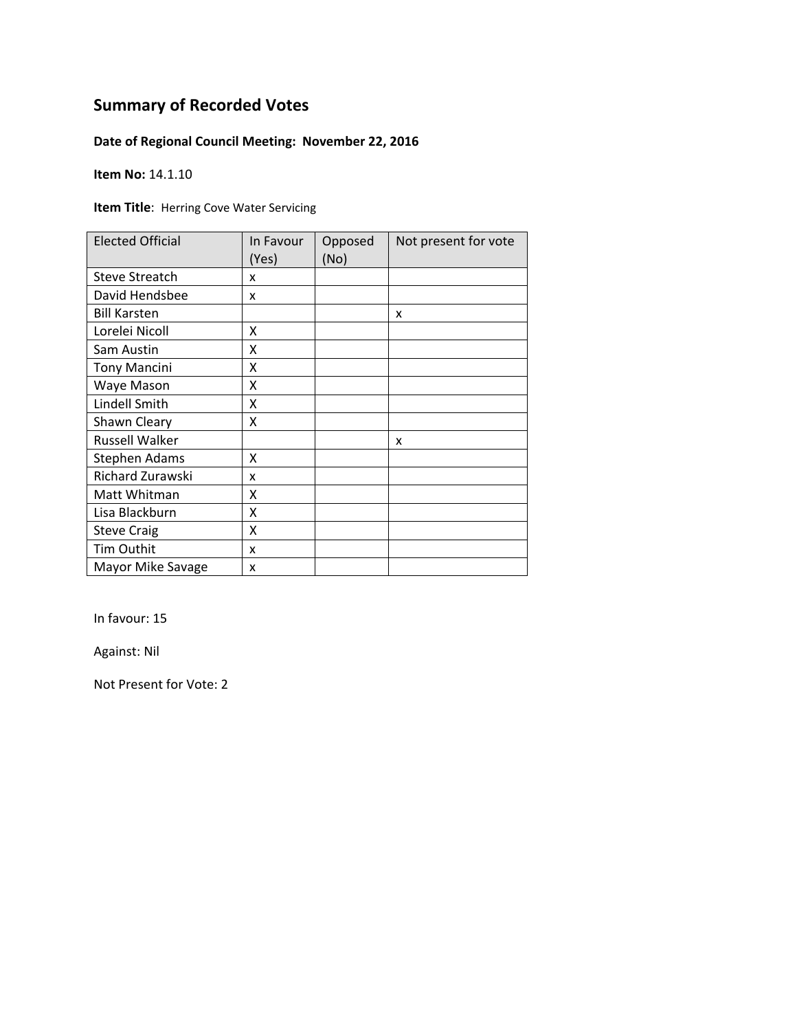### **Date of Regional Council Meeting: November 22, 2016**

**Item No:** 14.1.10

**Item Title**: Herring Cove Water Servicing

| <b>Elected Official</b> | In Favour<br>(Yes) | Opposed<br>(No) | Not present for vote |
|-------------------------|--------------------|-----------------|----------------------|
| <b>Steve Streatch</b>   | x                  |                 |                      |
| David Hendsbee          | x                  |                 |                      |
| <b>Bill Karsten</b>     |                    |                 | x                    |
| Lorelei Nicoll          | X                  |                 |                      |
| Sam Austin              | X                  |                 |                      |
| <b>Tony Mancini</b>     | Χ                  |                 |                      |
| Waye Mason              | Χ                  |                 |                      |
| Lindell Smith           | x                  |                 |                      |
| Shawn Cleary            | x                  |                 |                      |
| <b>Russell Walker</b>   |                    |                 | x                    |
| <b>Stephen Adams</b>    | x                  |                 |                      |
| Richard Zurawski        | x                  |                 |                      |
| Matt Whitman            | X                  |                 |                      |
| Lisa Blackburn          | X                  |                 |                      |
| <b>Steve Craig</b>      | Χ                  |                 |                      |
| <b>Tim Outhit</b>       | x                  |                 |                      |
| Mayor Mike Savage       | X                  |                 |                      |

In favour: 15

Against: Nil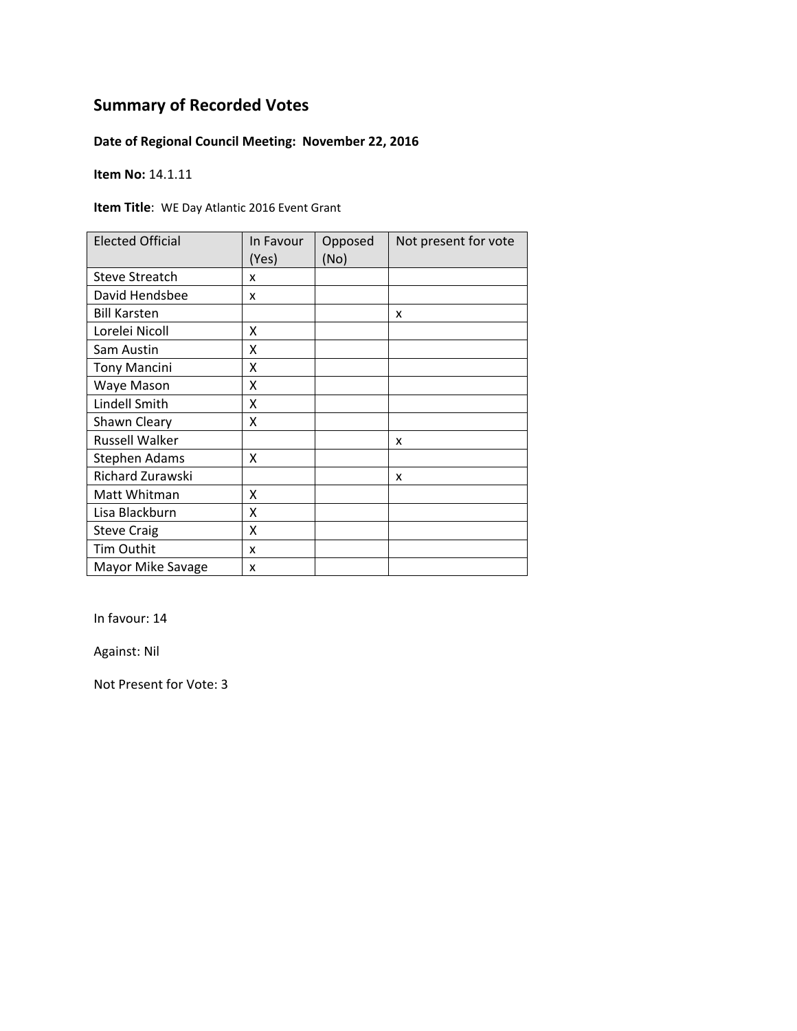### **Date of Regional Council Meeting: November 22, 2016**

**Item No:** 14.1.11

**Item Title**: WE Day Atlantic 2016 Event Grant

| <b>Elected Official</b> | In Favour<br>(Yes) | Opposed<br>(No) | Not present for vote |
|-------------------------|--------------------|-----------------|----------------------|
| <b>Steve Streatch</b>   | x                  |                 |                      |
| David Hendsbee          | x                  |                 |                      |
| <b>Bill Karsten</b>     |                    |                 | x                    |
| Lorelei Nicoll          | χ                  |                 |                      |
| Sam Austin              | X                  |                 |                      |
| <b>Tony Mancini</b>     | X                  |                 |                      |
| Waye Mason              | Χ                  |                 |                      |
| Lindell Smith           | χ                  |                 |                      |
| Shawn Cleary            | X                  |                 |                      |
| <b>Russell Walker</b>   |                    |                 | x                    |
| <b>Stephen Adams</b>    | Χ                  |                 |                      |
| Richard Zurawski        |                    |                 | x                    |
| Matt Whitman            | Χ                  |                 |                      |
| Lisa Blackburn          | χ                  |                 |                      |
| <b>Steve Craig</b>      | X                  |                 |                      |
| Tim Outhit              | x                  |                 |                      |
| Mayor Mike Savage       | x                  |                 |                      |

In favour: 14

Against: Nil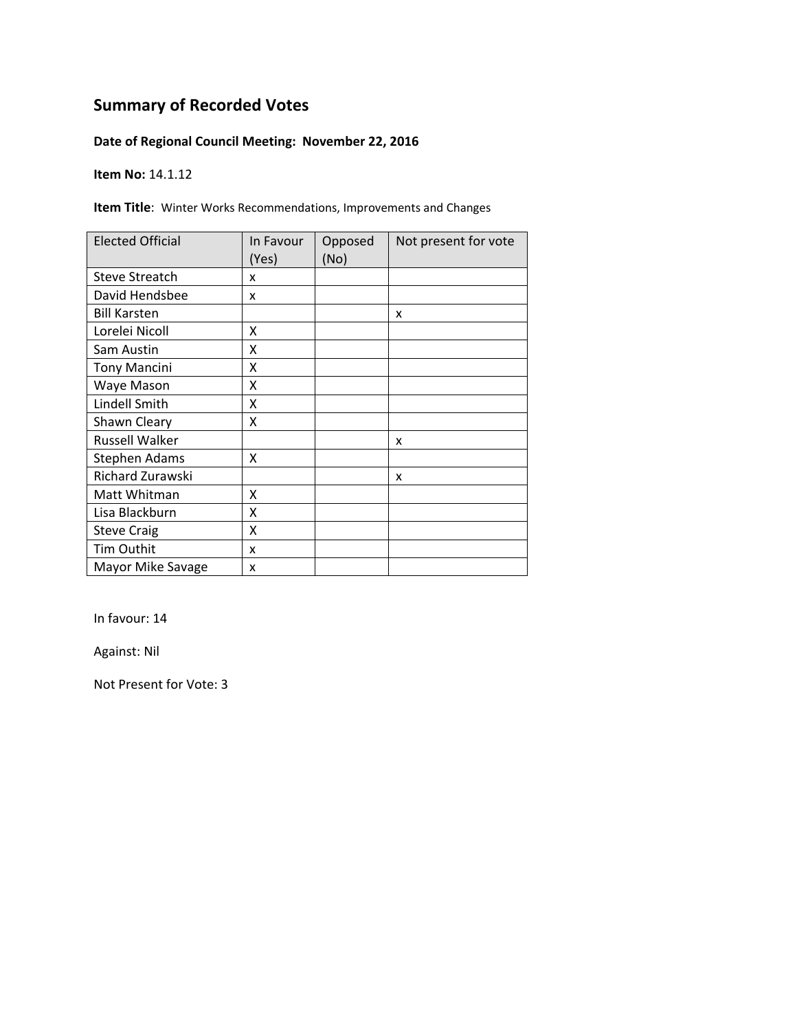### **Date of Regional Council Meeting: November 22, 2016**

**Item No:** 14.1.12

**Item Title**: Winter Works Recommendations, Improvements and Changes

| <b>Elected Official</b> | In Favour<br>(Yes) | Opposed<br>(No) | Not present for vote |
|-------------------------|--------------------|-----------------|----------------------|
| <b>Steve Streatch</b>   | x                  |                 |                      |
| David Hendsbee          | x                  |                 |                      |
| <b>Bill Karsten</b>     |                    |                 | x                    |
| Lorelei Nicoll          | Χ                  |                 |                      |
| Sam Austin              | X                  |                 |                      |
| <b>Tony Mancini</b>     | Χ                  |                 |                      |
| Waye Mason              | Χ                  |                 |                      |
| Lindell Smith           | Χ                  |                 |                      |
| Shawn Cleary            | χ                  |                 |                      |
| <b>Russell Walker</b>   |                    |                 | x                    |
| Stephen Adams           | x                  |                 |                      |
| Richard Zurawski        |                    |                 | x                    |
| Matt Whitman            | X                  |                 |                      |
| Lisa Blackburn          | X                  |                 |                      |
| <b>Steve Craig</b>      | Χ                  |                 |                      |
| <b>Tim Outhit</b>       | x                  |                 |                      |
| Mayor Mike Savage       | x                  |                 |                      |

In favour: 14

Against: Nil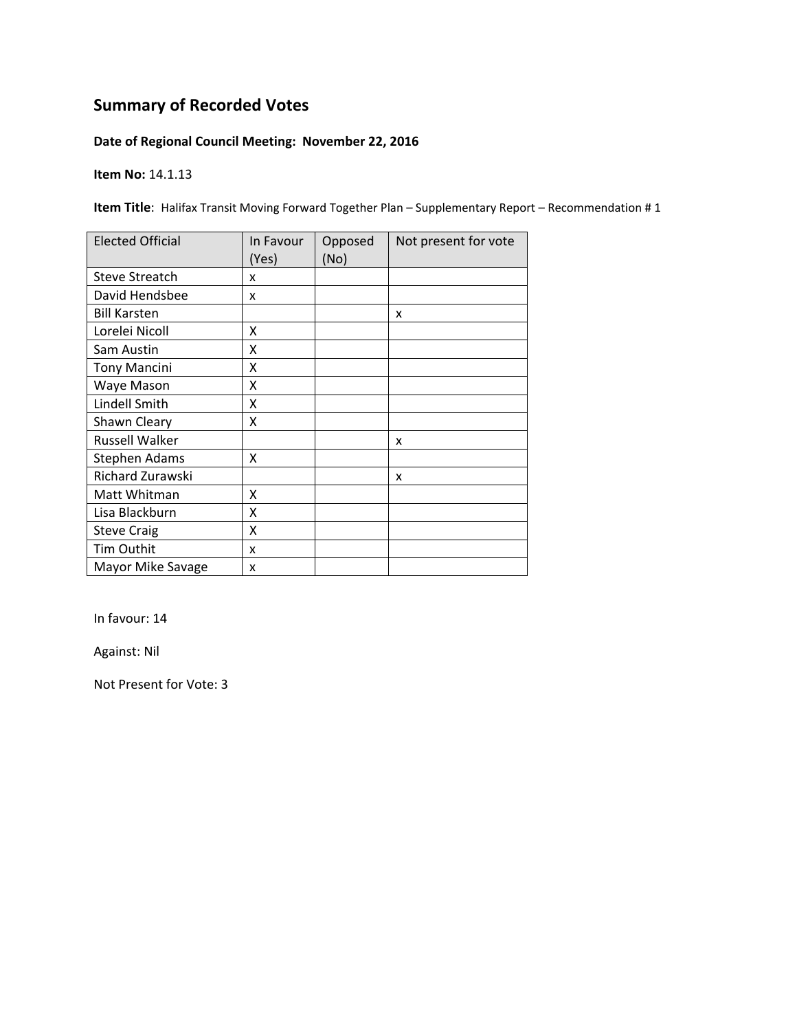### **Date of Regional Council Meeting: November 22, 2016**

**Item No:** 14.1.13

**Item Title**: Halifax Transit Moving Forward Together Plan – Supplementary Report – Recommendation # 1

| <b>Elected Official</b> | In Favour<br>(Yes) | Opposed<br>(No) | Not present for vote |
|-------------------------|--------------------|-----------------|----------------------|
| <b>Steve Streatch</b>   | x                  |                 |                      |
| David Hendsbee          | x                  |                 |                      |
| <b>Bill Karsten</b>     |                    |                 | x                    |
| Lorelei Nicoll          | x                  |                 |                      |
| Sam Austin              | Χ                  |                 |                      |
| <b>Tony Mancini</b>     | Χ                  |                 |                      |
| Waye Mason              | x                  |                 |                      |
| Lindell Smith           | x                  |                 |                      |
| Shawn Cleary            | x                  |                 |                      |
| Russell Walker          |                    |                 | x                    |
| <b>Stephen Adams</b>    | x                  |                 |                      |
| Richard Zurawski        |                    |                 | x                    |
| Matt Whitman            | X                  |                 |                      |
| Lisa Blackburn          | X                  |                 |                      |
| <b>Steve Craig</b>      | X                  |                 |                      |
| Tim Outhit              | x                  |                 |                      |
| Mayor Mike Savage       | x                  |                 |                      |

In favour: 14

Against: Nil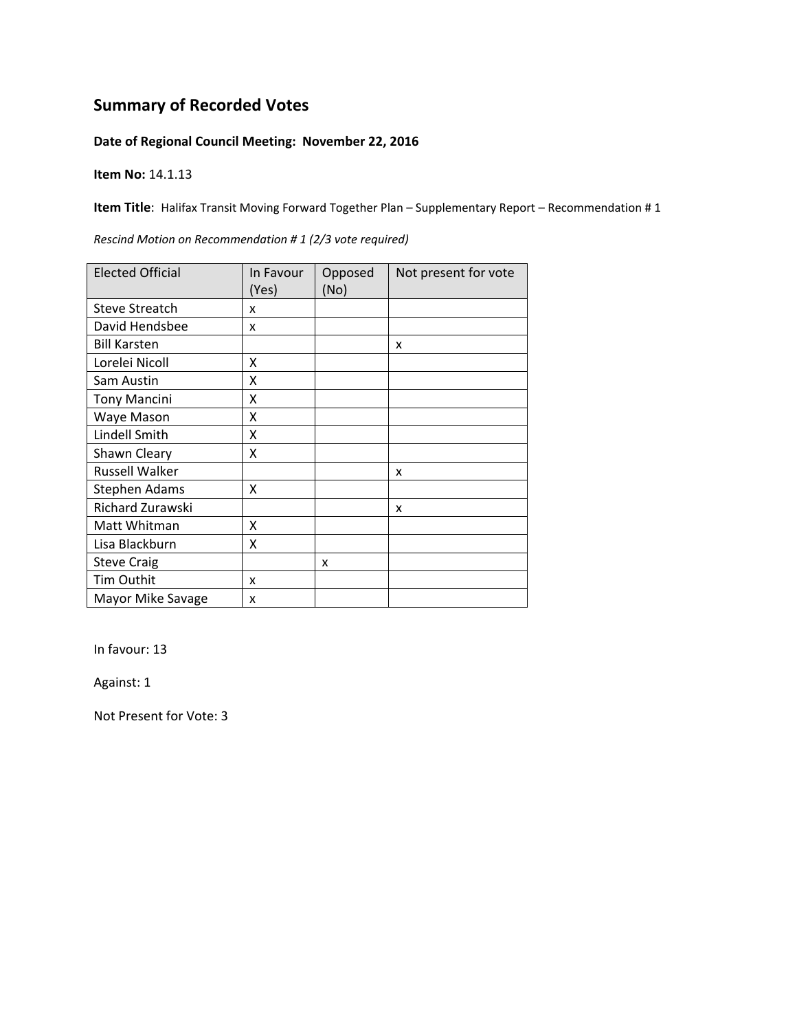#### **Date of Regional Council Meeting: November 22, 2016**

**Item No:** 14.1.13

**Item Title**: Halifax Transit Moving Forward Together Plan – Supplementary Report – Recommendation # 1

| <b>Elected Official</b> | In Favour | Opposed | Not present for vote |
|-------------------------|-----------|---------|----------------------|
|                         | (Yes)     | (No)    |                      |
| <b>Steve Streatch</b>   | x         |         |                      |
| David Hendsbee          | x         |         |                      |
| <b>Bill Karsten</b>     |           |         | x                    |
| Lorelei Nicoll          | X         |         |                      |
| Sam Austin              | X         |         |                      |
| <b>Tony Mancini</b>     | X         |         |                      |
| Waye Mason              | X         |         |                      |
| Lindell Smith           | X         |         |                      |
| Shawn Cleary            | X         |         |                      |
| <b>Russell Walker</b>   |           |         | x                    |
| <b>Stephen Adams</b>    | X         |         |                      |
| Richard Zurawski        |           |         | x                    |
| Matt Whitman            | x         |         |                      |
| Lisa Blackburn          | X         |         |                      |
| <b>Steve Craig</b>      |           | x       |                      |
| Tim Outhit              | x         |         |                      |
| Mayor Mike Savage       | x         |         |                      |

*Rescind Motion on Recommendation # 1 (2/3 vote required)*

In favour: 13

Against: 1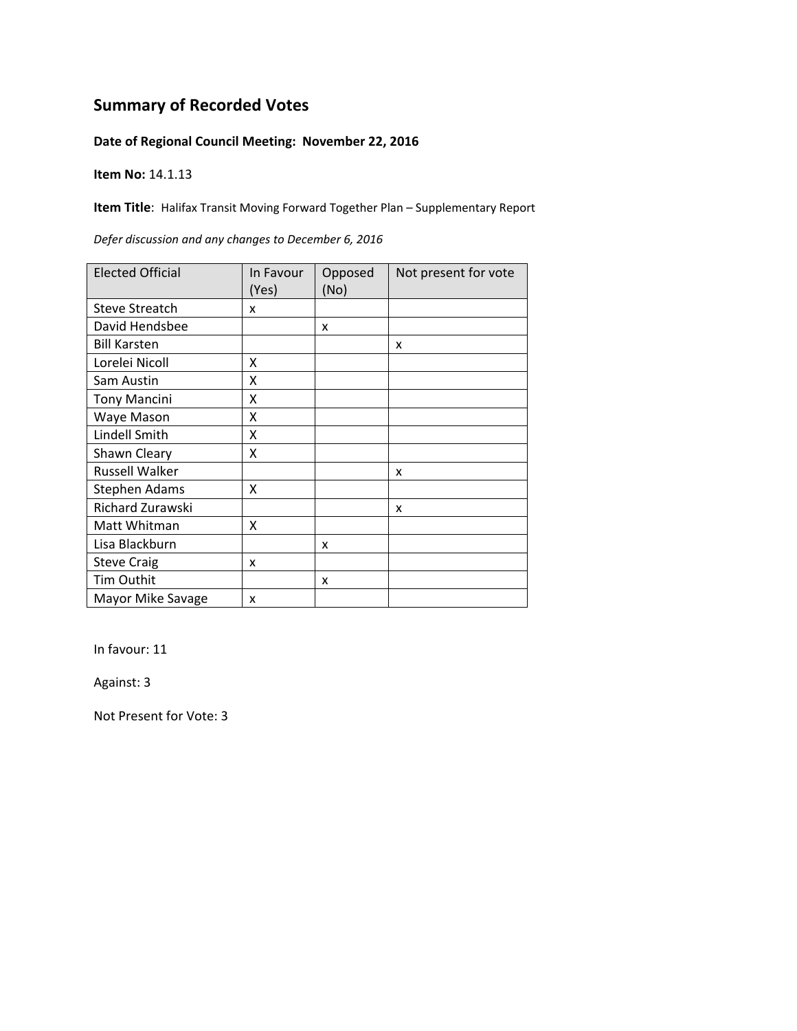#### **Date of Regional Council Meeting: November 22, 2016**

**Item No:** 14.1.13

**Item Title**: Halifax Transit Moving Forward Together Plan – Supplementary Report

| <b>Elected Official</b> | In Favour<br>(Yes) | Opposed<br>(No) | Not present for vote |
|-------------------------|--------------------|-----------------|----------------------|
| <b>Steve Streatch</b>   | x                  |                 |                      |
| David Hendsbee          |                    | x               |                      |
| <b>Bill Karsten</b>     |                    |                 | X                    |
| Lorelei Nicoll          | x                  |                 |                      |
| Sam Austin              | Χ                  |                 |                      |
| <b>Tony Mancini</b>     | Χ                  |                 |                      |
| Waye Mason              | x                  |                 |                      |
| Lindell Smith           | x                  |                 |                      |
| Shawn Cleary            | x                  |                 |                      |
| Russell Walker          |                    |                 | x                    |
| <b>Stephen Adams</b>    | X                  |                 |                      |
| Richard Zurawski        |                    |                 | x                    |
| Matt Whitman            | X                  |                 |                      |
| Lisa Blackburn          |                    | x               |                      |
| <b>Steve Craig</b>      | x                  |                 |                      |
| Tim Outhit              |                    | x               |                      |
| Mayor Mike Savage       | x                  |                 |                      |

*Defer discussion and any changes to December 6, 2016*

In favour: 11

Against: 3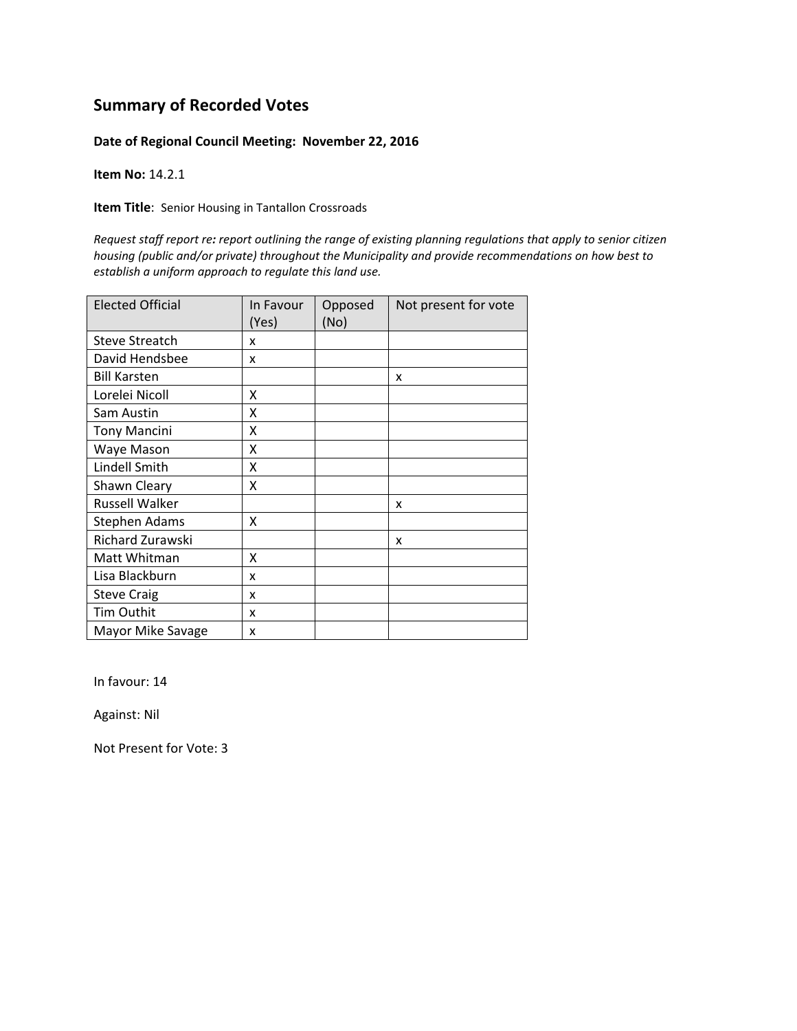#### **Date of Regional Council Meeting: November 22, 2016**

**Item No:** 14.2.1

**Item Title**: Senior Housing in Tantallon Crossroads

Request staff report re: report outlining the range of existing planning regulations that apply to senior citizen *housing (public and/or private) throughout the Municipality and provide recommendations on how best to establish a uniform approach to regulate this land use.*

| <b>Elected Official</b> | In Favour<br>(Yes) | Opposed<br>(No) | Not present for vote |
|-------------------------|--------------------|-----------------|----------------------|
| <b>Steve Streatch</b>   | x                  |                 |                      |
| David Hendsbee          | X                  |                 |                      |
| <b>Bill Karsten</b>     |                    |                 | x                    |
| Lorelei Nicoll          | x                  |                 |                      |
| Sam Austin              | x                  |                 |                      |
| <b>Tony Mancini</b>     | x                  |                 |                      |
| Waye Mason              | x                  |                 |                      |
| Lindell Smith           | x                  |                 |                      |
| Shawn Cleary            | x                  |                 |                      |
| <b>Russell Walker</b>   |                    |                 | X                    |
| Stephen Adams           | x                  |                 |                      |
| <b>Richard Zurawski</b> |                    |                 | X                    |
| Matt Whitman            | x                  |                 |                      |
| Lisa Blackburn          | x                  |                 |                      |
| <b>Steve Craig</b>      | x                  |                 |                      |
| Tim Outhit              | x                  |                 |                      |
| Mayor Mike Savage       | x                  |                 |                      |

In favour: 14

Against: Nil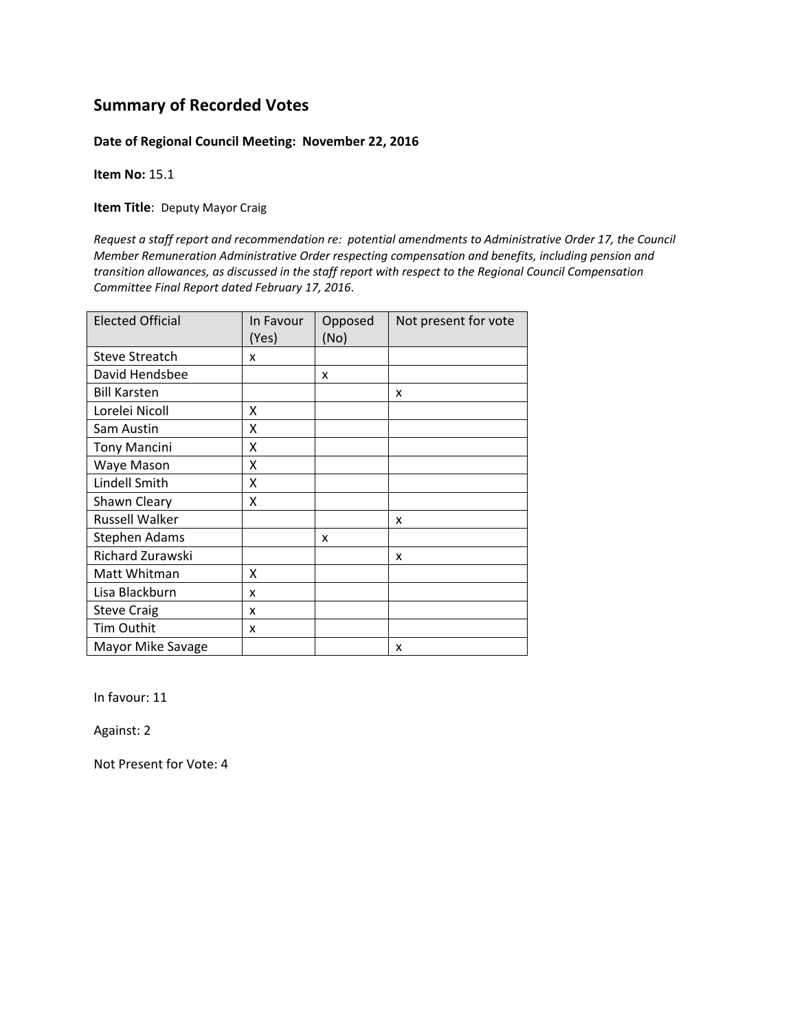#### **Date of Regional Council Meeting: November 22, 2016**

**Item No:** 15.1

**Item Title**: Deputy Mayor Craig

*Request a staff report and recommendation re: potential amendments to Administrative Order 17, the Council Member Remuneration Administrative Order respecting compensation and benefits, including pension and transition allowances, as discussed in the staff report with respect to the Regional Council Compensation Committee Final Report dated February 17, 2016*.

| <b>Elected Official</b> | In Favour<br>(Yes) | Opposed<br>(No) | Not present for vote |
|-------------------------|--------------------|-----------------|----------------------|
| <b>Steve Streatch</b>   | x                  |                 |                      |
| David Hendsbee          |                    | X               |                      |
| <b>Bill Karsten</b>     |                    |                 | x                    |
| Lorelei Nicoll          | x                  |                 |                      |
| Sam Austin              | x                  |                 |                      |
| <b>Tony Mancini</b>     | x                  |                 |                      |
| Waye Mason              | X                  |                 |                      |
| Lindell Smith           | X                  |                 |                      |
| Shawn Cleary            | x                  |                 |                      |
| <b>Russell Walker</b>   |                    |                 | x                    |
| Stephen Adams           |                    | x               |                      |
| <b>Richard Zurawski</b> |                    |                 | x                    |
| Matt Whitman            | x                  |                 |                      |
| Lisa Blackburn          | x                  |                 |                      |
| <b>Steve Craig</b>      | x                  |                 |                      |
| <b>Tim Outhit</b>       | x                  |                 |                      |
| Mayor Mike Savage       |                    |                 | x                    |

In favour: 11

Against: 2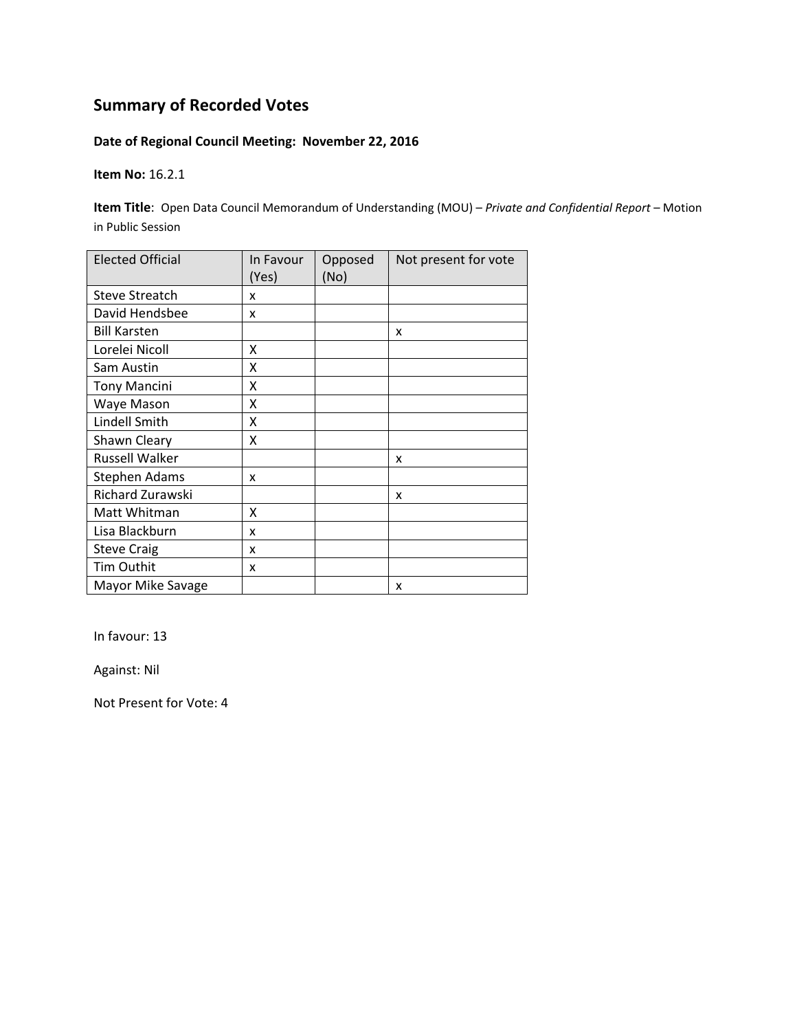#### **Date of Regional Council Meeting: November 22, 2016**

**Item No:** 16.2.1

**Item Title**: Open Data Council Memorandum of Understanding (MOU) – *Private and Confidential Report* – Motion in Public Session

| <b>Elected Official</b> | In Favour<br>(Yes) | Opposed<br>(No) | Not present for vote |
|-------------------------|--------------------|-----------------|----------------------|
| <b>Steve Streatch</b>   | x                  |                 |                      |
| David Hendsbee          | x                  |                 |                      |
| <b>Bill Karsten</b>     |                    |                 | X                    |
| Lorelei Nicoll          | x                  |                 |                      |
| Sam Austin              | Χ                  |                 |                      |
| <b>Tony Mancini</b>     | X                  |                 |                      |
| Waye Mason              | x                  |                 |                      |
| Lindell Smith           | X                  |                 |                      |
| Shawn Cleary            | Χ                  |                 |                      |
| <b>Russell Walker</b>   |                    |                 | x                    |
| <b>Stephen Adams</b>    | x                  |                 |                      |
| Richard Zurawski        |                    |                 | x                    |
| Matt Whitman            | X                  |                 |                      |
| Lisa Blackburn          | x                  |                 |                      |
| <b>Steve Craig</b>      | x                  |                 |                      |
| Tim Outhit              | x                  |                 |                      |
| Mayor Mike Savage       |                    |                 | X                    |

In favour: 13

Against: Nil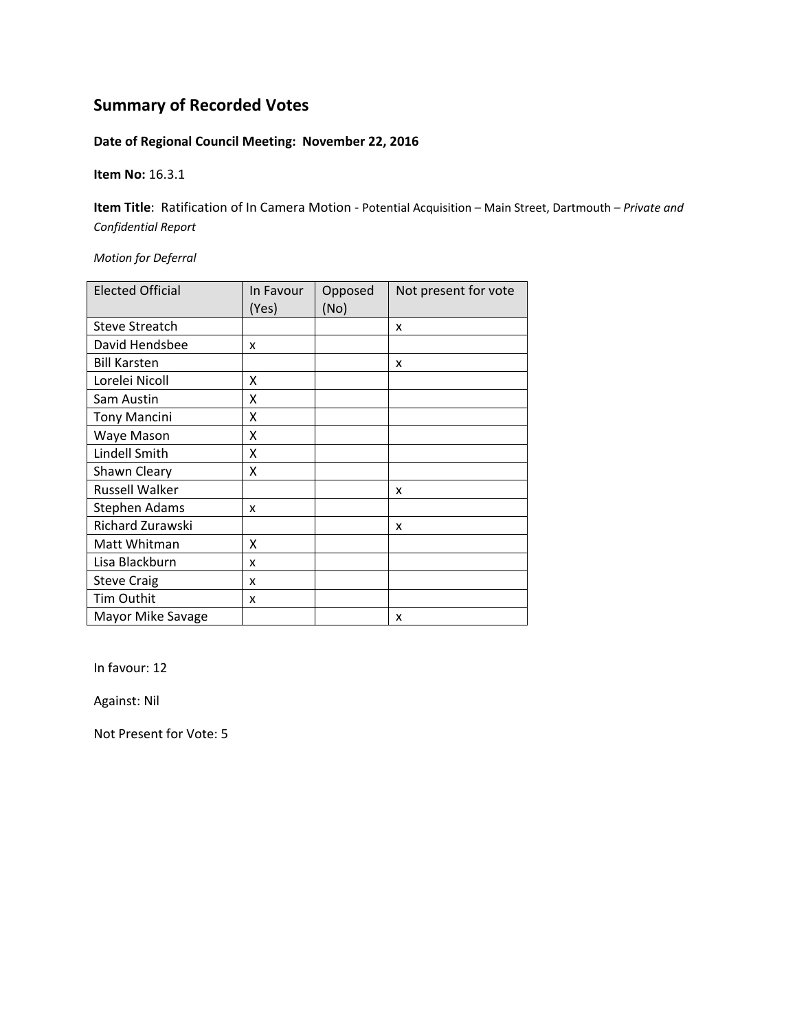#### **Date of Regional Council Meeting: November 22, 2016**

**Item No:** 16.3.1

**Item Title**: Ratification of In Camera Motion ‐ Potential Acquisition – Main Street, Dartmouth *– Private and Confidential Report*

*Motion for Deferral*

| <b>Elected Official</b> | In Favour<br>(Yes) | Opposed<br>(No) | Not present for vote |
|-------------------------|--------------------|-----------------|----------------------|
| <b>Steve Streatch</b>   |                    |                 | x                    |
| David Hendsbee          | x                  |                 |                      |
| <b>Bill Karsten</b>     |                    |                 | x                    |
| Lorelei Nicoll          | x                  |                 |                      |
| Sam Austin              | χ                  |                 |                      |
| <b>Tony Mancini</b>     | x                  |                 |                      |
| Waye Mason              | x                  |                 |                      |
| Lindell Smith           | X                  |                 |                      |
| Shawn Cleary            | X                  |                 |                      |
| Russell Walker          |                    |                 | x                    |
| Stephen Adams           | x                  |                 |                      |
| Richard Zurawski        |                    |                 | x                    |
| Matt Whitman            | X                  |                 |                      |
| Lisa Blackburn          | x                  |                 |                      |
| <b>Steve Craig</b>      | x                  |                 |                      |
| Tim Outhit              | x                  |                 |                      |
| Mayor Mike Savage       |                    |                 | x                    |

In favour: 12

Against: Nil